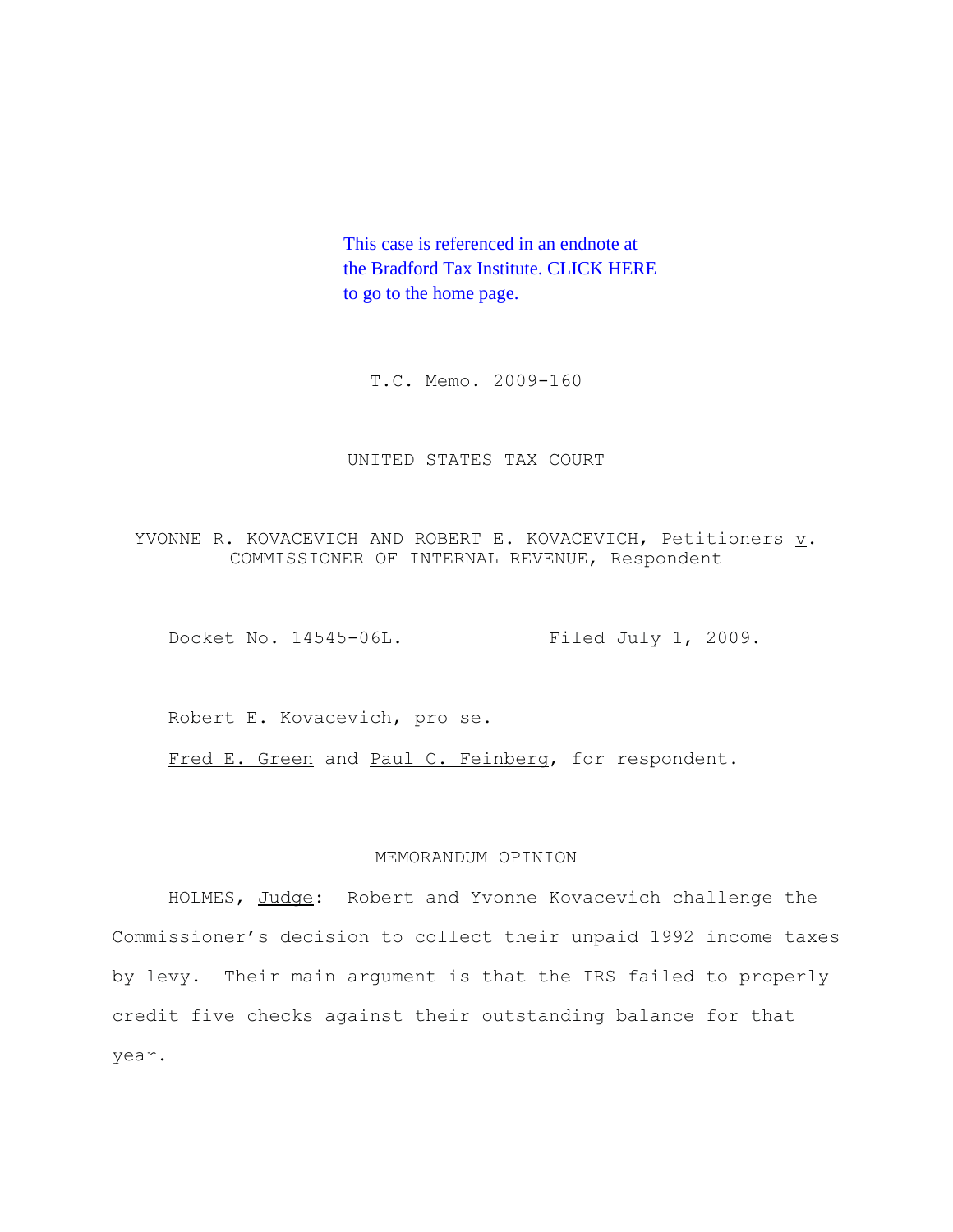This case is referenced in an endnote at [the Bradford Tax Institute. CLICK HERE](http://bradfordtaxinstitute.com/index1.aspx)  to go to the home page.

T.C. Memo. 2009-160

#### UNITED STATES TAX COURT

YVONNE R. KOVACEVICH AND ROBERT E. KOVACEVICH, Petitioners  $\underline{v}$ . COMMISSIONER OF INTERNAL REVENUE, Respondent

Docket No. 14545-06L. Filed July 1, 2009.

Robert E. Kovacevich, pro se.

Fred E. Green and Paul C. Feinberg, for respondent.

## MEMORANDUM OPINION

HOLMES, Judge: Robert and Yvonne Kovacevich challenge the Commissioner's decision to collect their unpaid 1992 income taxes by levy. Their main argument is that the IRS failed to properly credit five checks against their outstanding balance for that year.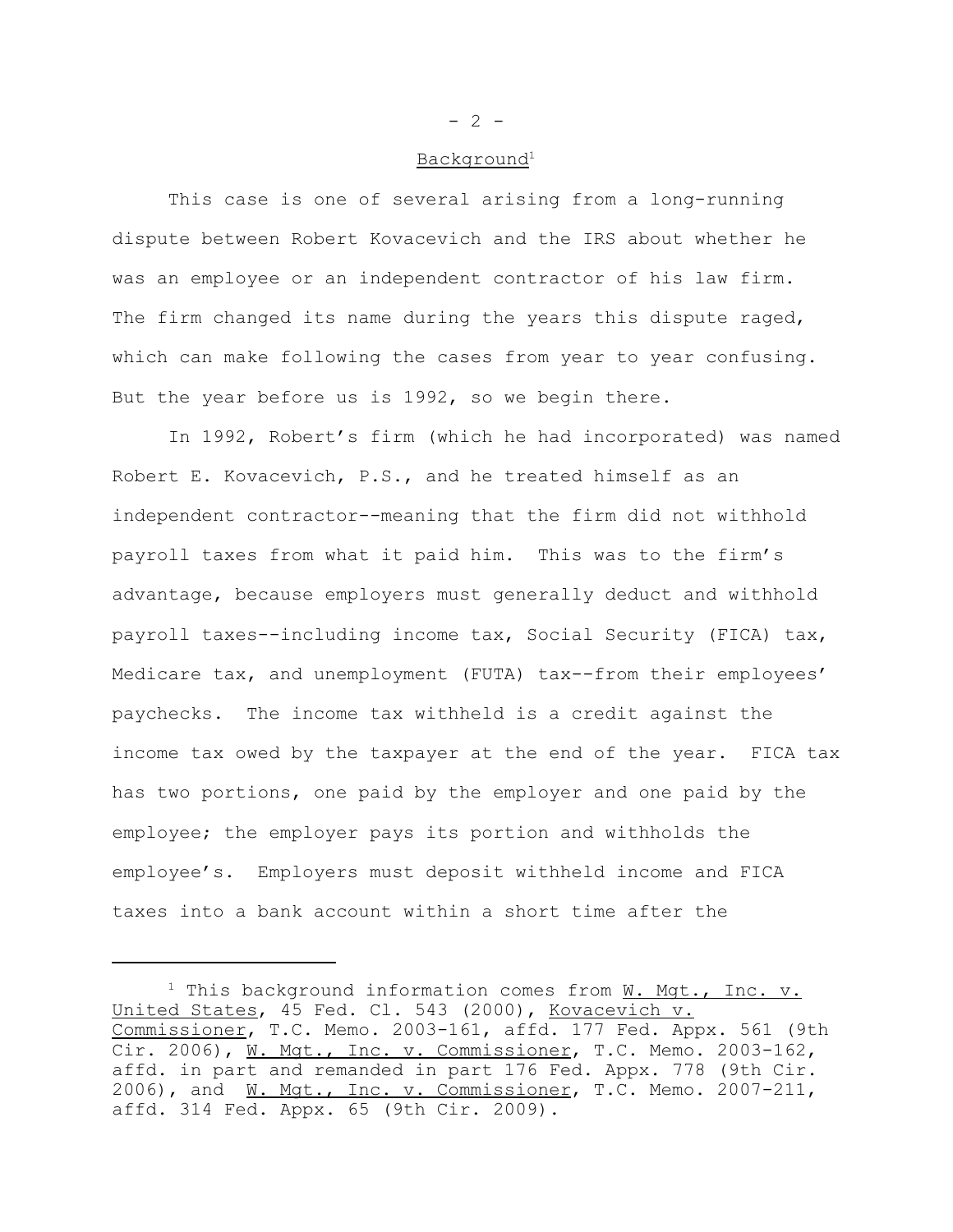#### Background<sup>1</sup>

This case is one of several arising from a long-running dispute between Robert Kovacevich and the IRS about whether he was an employee or an independent contractor of his law firm. The firm changed its name during the years this dispute raged, which can make following the cases from year to year confusing. But the year before us is 1992, so we begin there.

In 1992, Robert's firm (which he had incorporated) was named Robert E. Kovacevich, P.S., and he treated himself as an independent contractor--meaning that the firm did not withhold payroll taxes from what it paid him. This was to the firm's advantage, because employers must generally deduct and withhold payroll taxes--including income tax, Social Security (FICA) tax, Medicare tax, and unemployment (FUTA) tax--from their employees' paychecks. The income tax withheld is a credit against the income tax owed by the taxpayer at the end of the year. FICA tax has two portions, one paid by the employer and one paid by the employee; the employer pays its portion and withholds the employee's. Employers must deposit withheld income and FICA taxes into a bank account within a short time after the

 $- 2 -$ 

<sup>&</sup>lt;sup>1</sup> This background information comes from  $W$ . Mgt., Inc. v. United States, 45 Fed. Cl. 543 (2000), Kovacevich v. Commissioner, T.C. Memo. 2003-161, affd. 177 Fed. Appx. 561 (9th Cir. 2006), W. Mgt., Inc. v. Commissioner, T.C. Memo. 2003-162, affd. in part and remanded in part 176 Fed. Appx. 778 (9th Cir. 2006), and W. Mqt., Inc. v. Commissioner, T.C. Memo. 2007-211, affd. 314 Fed. Appx. 65 (9th Cir. 2009).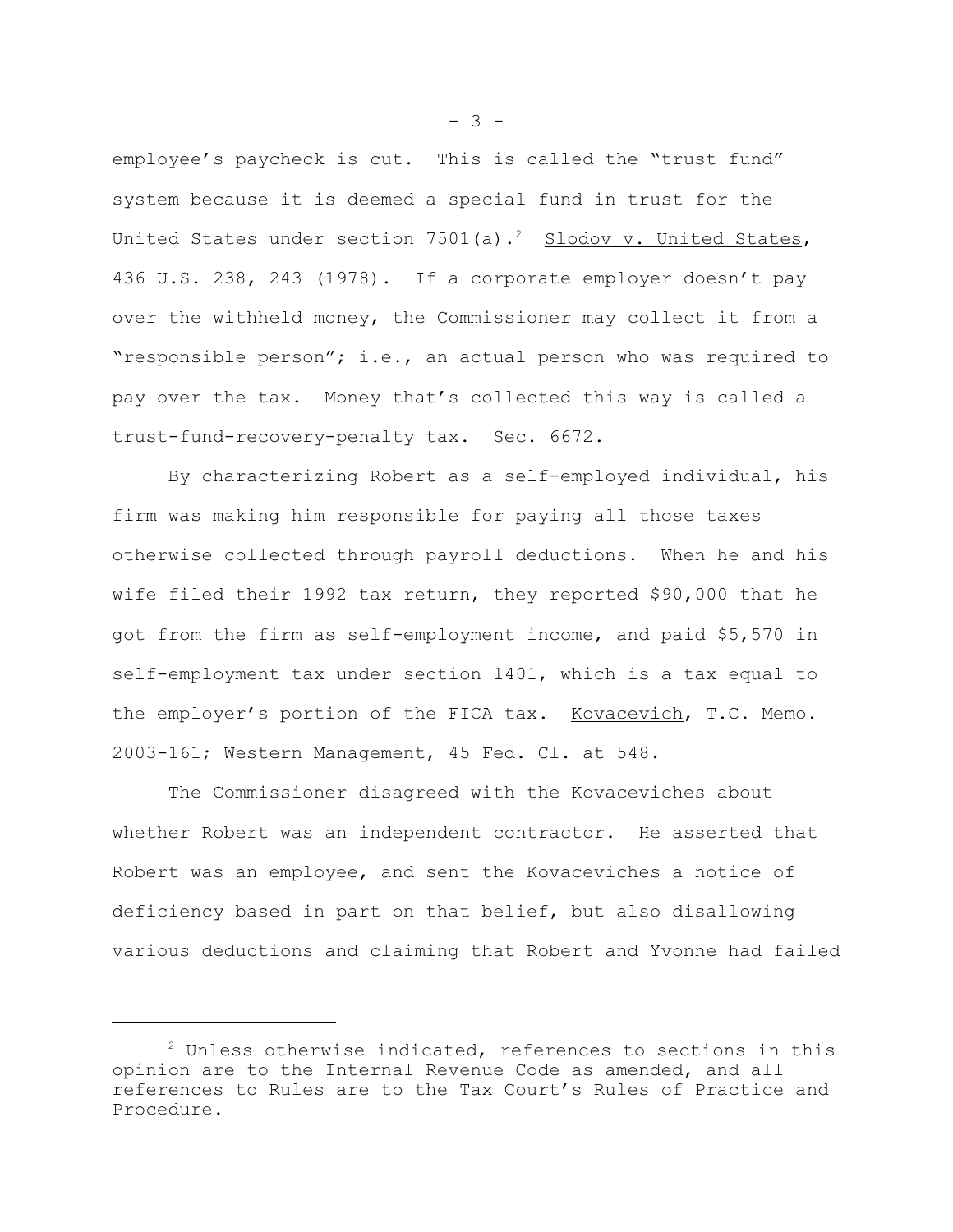employee's paycheck is cut. This is called the "trust fund" system because it is deemed a special fund in trust for the United States under section  $7501(a)$ .<sup>2</sup> Slodov v. United States, 436 U.S. 238, 243 (1978). If a corporate employer doesn't pay over the withheld money, the Commissioner may collect it from a "responsible person"; i.e., an actual person who was required to pay over the tax. Money that's collected this way is called a trust-fund-recovery-penalty tax. Sec. 6672.

By characterizing Robert as a self-employed individual, his firm was making him responsible for paying all those taxes otherwise collected through payroll deductions. When he and his wife filed their 1992 tax return, they reported \$90,000 that he got from the firm as self-employment income, and paid \$5,570 in self-employment tax under section 1401, which is a tax equal to the employer's portion of the FICA tax. Kovacevich, T.C. Memo. 2003-161; Western Management, 45 Fed. Cl. at 548.

The Commissioner disagreed with the Kovaceviches about whether Robert was an independent contractor. He asserted that Robert was an employee, and sent the Kovaceviches a notice of deficiency based in part on that belief, but also disallowing various deductions and claiming that Robert and Yvonne had failed

 $- 3 -$ 

 $2$  Unless otherwise indicated, references to sections in this opinion are to the Internal Revenue Code as amended, and all references to Rules are to the Tax Court's Rules of Practice and Procedure.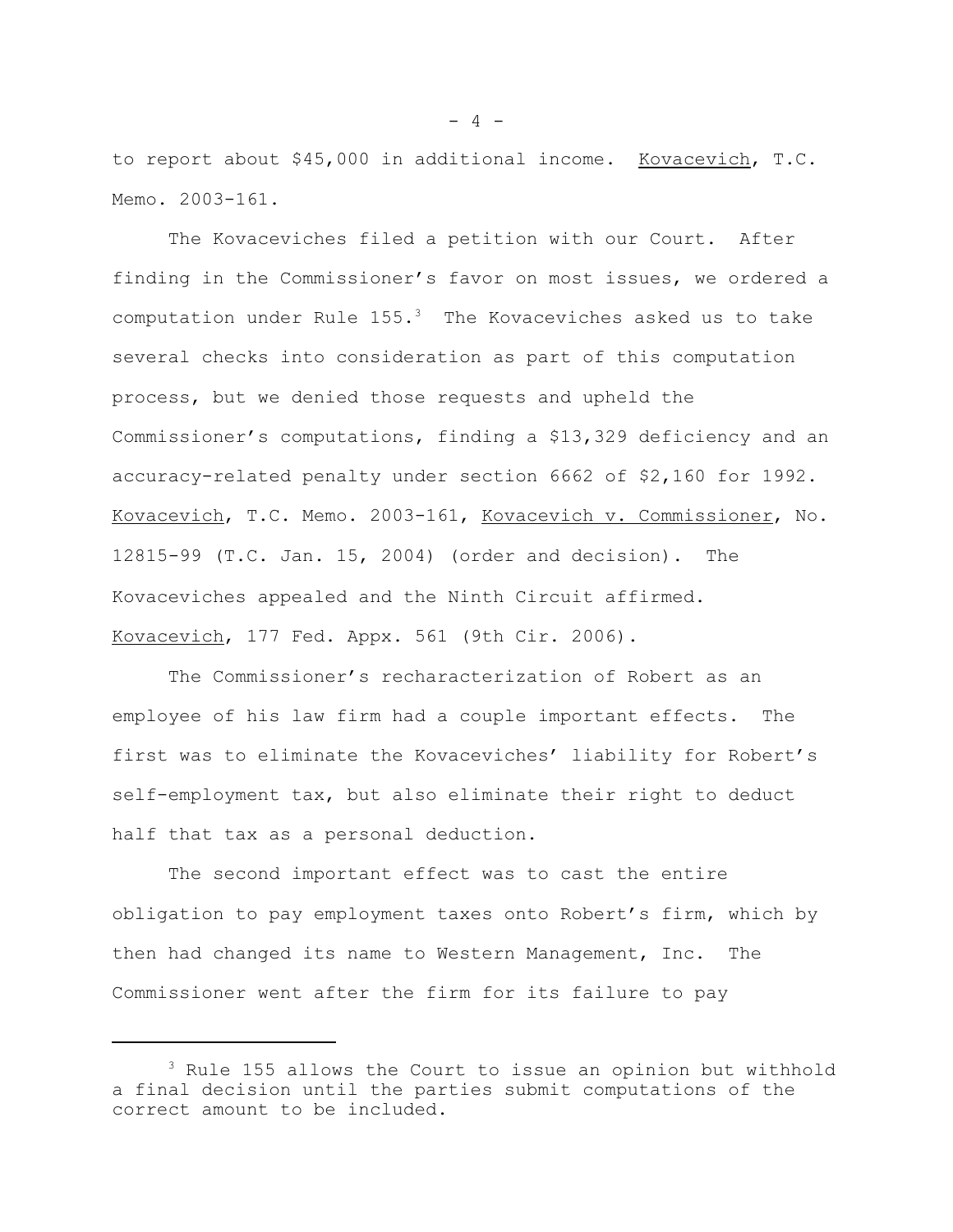to report about \$45,000 in additional income. Kovacevich, T.C. Memo. 2003-161.

The Kovaceviches filed a petition with our Court. After finding in the Commissioner's favor on most issues, we ordered a computation under Rule  $155.^3$  The Kovaceviches asked us to take several checks into consideration as part of this computation process, but we denied those requests and upheld the Commissioner's computations, finding a \$13,329 deficiency and an accuracy-related penalty under section 6662 of \$2,160 for 1992. Kovacevich, T.C. Memo. 2003-161, Kovacevich v. Commissioner, No. 12815-99 (T.C. Jan. 15, 2004) (order and decision). The Kovaceviches appealed and the Ninth Circuit affirmed. Kovacevich, 177 Fed. Appx. 561 (9th Cir. 2006).

The Commissioner's recharacterization of Robert as an employee of his law firm had a couple important effects. The first was to eliminate the Kovaceviches' liability for Robert's self-employment tax, but also eliminate their right to deduct half that tax as a personal deduction.

The second important effect was to cast the entire obligation to pay employment taxes onto Robert's firm, which by then had changed its name to Western Management, Inc. The Commissioner went after the firm for its failure to pay

<sup>3</sup> Rule 155 allows the Court to issue an opinion but withhold a final decision until the parties submit computations of the correct amount to be included.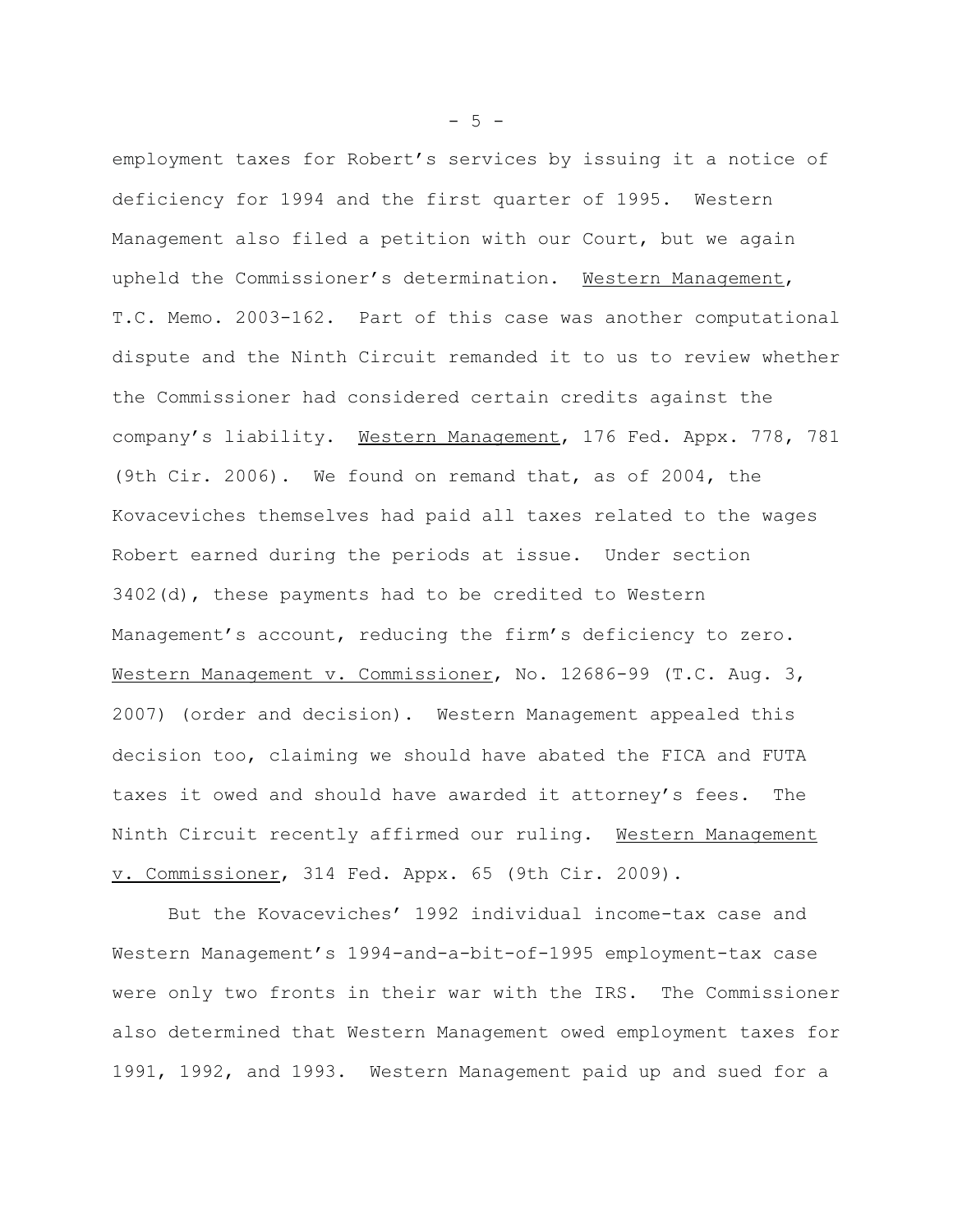employment taxes for Robert's services by issuing it a notice of deficiency for 1994 and the first quarter of 1995. Western Management also filed a petition with our Court, but we again upheld the Commissioner's determination. Western Management, T.C. Memo. 2003-162. Part of this case was another computational dispute and the Ninth Circuit remanded it to us to review whether the Commissioner had considered certain credits against the company's liability. Western Management, 176 Fed. Appx. 778, 781 (9th Cir. 2006). We found on remand that, as of 2004, the Kovaceviches themselves had paid all taxes related to the wages Robert earned during the periods at issue. Under section 3402(d), these payments had to be credited to Western Management's account, reducing the firm's deficiency to zero. Western Management v. Commissioner, No. 12686-99 (T.C. Aug. 3, 2007) (order and decision). Western Management appealed this decision too, claiming we should have abated the FICA and FUTA taxes it owed and should have awarded it attorney's fees. The Ninth Circuit recently affirmed our ruling. Western Management v. Commissioner, 314 Fed. Appx. 65 (9th Cir. 2009).

But the Kovaceviches' 1992 individual income-tax case and Western Management's 1994-and-a-bit-of-1995 employment-tax case were only two fronts in their war with the IRS. The Commissioner also determined that Western Management owed employment taxes for 1991, 1992, and 1993. Western Management paid up and sued for a

 $-5 -$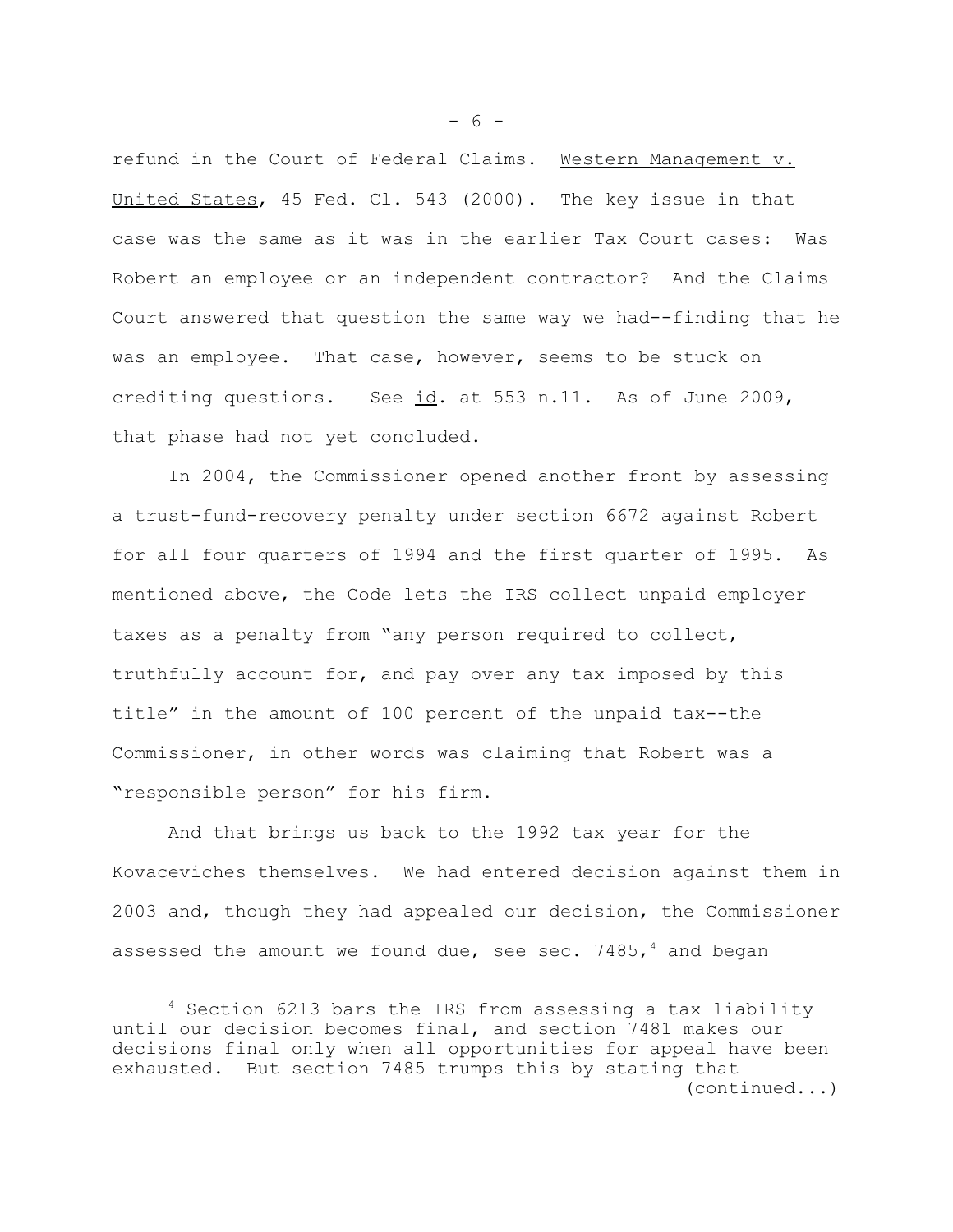refund in the Court of Federal Claims. Western Management v. United States, 45 Fed. Cl. 543 (2000). The key issue in that case was the same as it was in the earlier Tax Court cases: Was Robert an employee or an independent contractor? And the Claims Court answered that question the same way we had--finding that he was an employee. That case, however, seems to be stuck on crediting questions. See id. at 553 n.11. As of June 2009, that phase had not yet concluded.

In 2004, the Commissioner opened another front by assessing a trust-fund-recovery penalty under section 6672 against Robert for all four quarters of 1994 and the first quarter of 1995. As mentioned above, the Code lets the IRS collect unpaid employer taxes as a penalty from "any person required to collect, truthfully account for, and pay over any tax imposed by this title" in the amount of 100 percent of the unpaid tax--the Commissioner, in other words was claiming that Robert was a "responsible person" for his firm.

And that brings us back to the 1992 tax year for the Kovaceviches themselves. We had entered decision against them in 2003 and, though they had appealed our decision, the Commissioner assessed the amount we found due, see sec. 7485,<sup>4</sup> and began

 $- 6 -$ 

<sup>4</sup> Section 6213 bars the IRS from assessing a tax liability until our decision becomes final, and section 7481 makes our decisions final only when all opportunities for appeal have been exhausted. But section 7485 trumps this by stating that (continued...)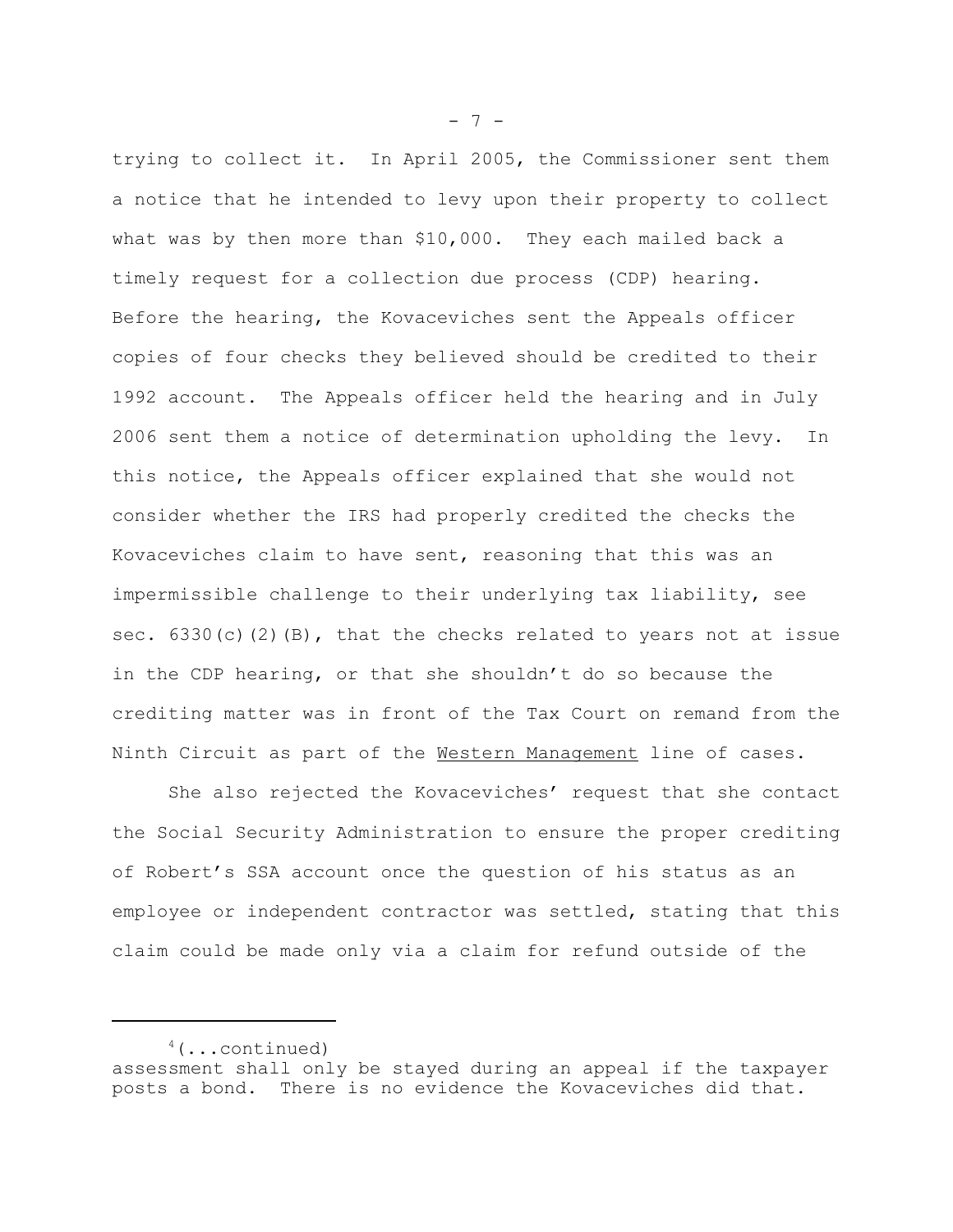trying to collect it. In April 2005, the Commissioner sent them a notice that he intended to levy upon their property to collect what was by then more than \$10,000. They each mailed back a timely request for a collection due process (CDP) hearing. Before the hearing, the Kovaceviches sent the Appeals officer copies of four checks they believed should be credited to their 1992 account. The Appeals officer held the hearing and in July 2006 sent them a notice of determination upholding the levy. In this notice, the Appeals officer explained that she would not consider whether the IRS had properly credited the checks the Kovaceviches claim to have sent, reasoning that this was an impermissible challenge to their underlying tax liability, see sec.  $6330(c)(2)(B)$ , that the checks related to years not at issue in the CDP hearing, or that she shouldn't do so because the crediting matter was in front of the Tax Court on remand from the Ninth Circuit as part of the Western Management line of cases.

She also rejected the Kovaceviches' request that she contact the Social Security Administration to ensure the proper crediting of Robert's SSA account once the question of his status as an employee or independent contractor was settled, stating that this claim could be made only via a claim for refund outside of the

 $- 7 -$ 

 $4$ (...continued) assessment shall only be stayed during an appeal if the taxpayer posts a bond. There is no evidence the Kovaceviches did that.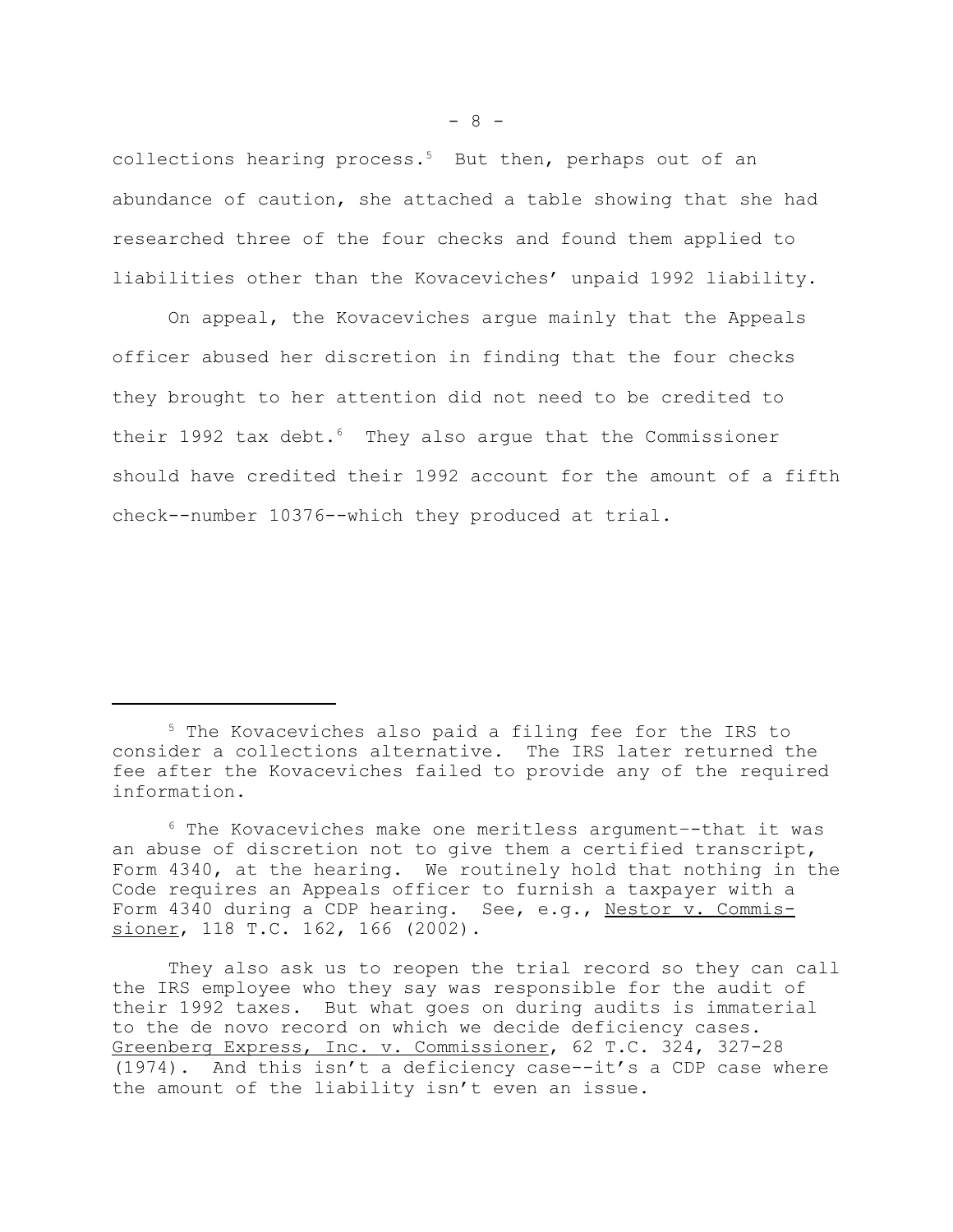collections hearing process.<sup>5</sup> But then, perhaps out of an abundance of caution, she attached a table showing that she had researched three of the four checks and found them applied to liabilities other than the Kovaceviches' unpaid 1992 liability.

On appeal, the Kovaceviches argue mainly that the Appeals officer abused her discretion in finding that the four checks they brought to her attention did not need to be credited to their 1992 tax debt. $6$  They also argue that the Commissioner should have credited their 1992 account for the amount of a fifth check--number 10376--which they produced at trial.

<sup>&</sup>lt;sup>5</sup> The Kovaceviches also paid a filing fee for the IRS to consider a collections alternative. The IRS later returned the fee after the Kovaceviches failed to provide any of the required information.

<sup>6</sup> The Kovaceviches make one meritless argument–-that it was an abuse of discretion not to give them a certified transcript, Form 4340, at the hearing. We routinely hold that nothing in the Code requires an Appeals officer to furnish a taxpayer with a Form 4340 during a CDP hearing. See, e.g., Nestor v. Commissioner, 118 T.C. 162, 166 (2002).

They also ask us to reopen the trial record so they can call the IRS employee who they say was responsible for the audit of their 1992 taxes. But what goes on during audits is immaterial to the de novo record on which we decide deficiency cases. Greenberg Express, Inc. v. Commissioner, 62 T.C. 324, 327-28 (1974). And this isn't a deficiency case--it's a CDP case where the amount of the liability isn't even an issue.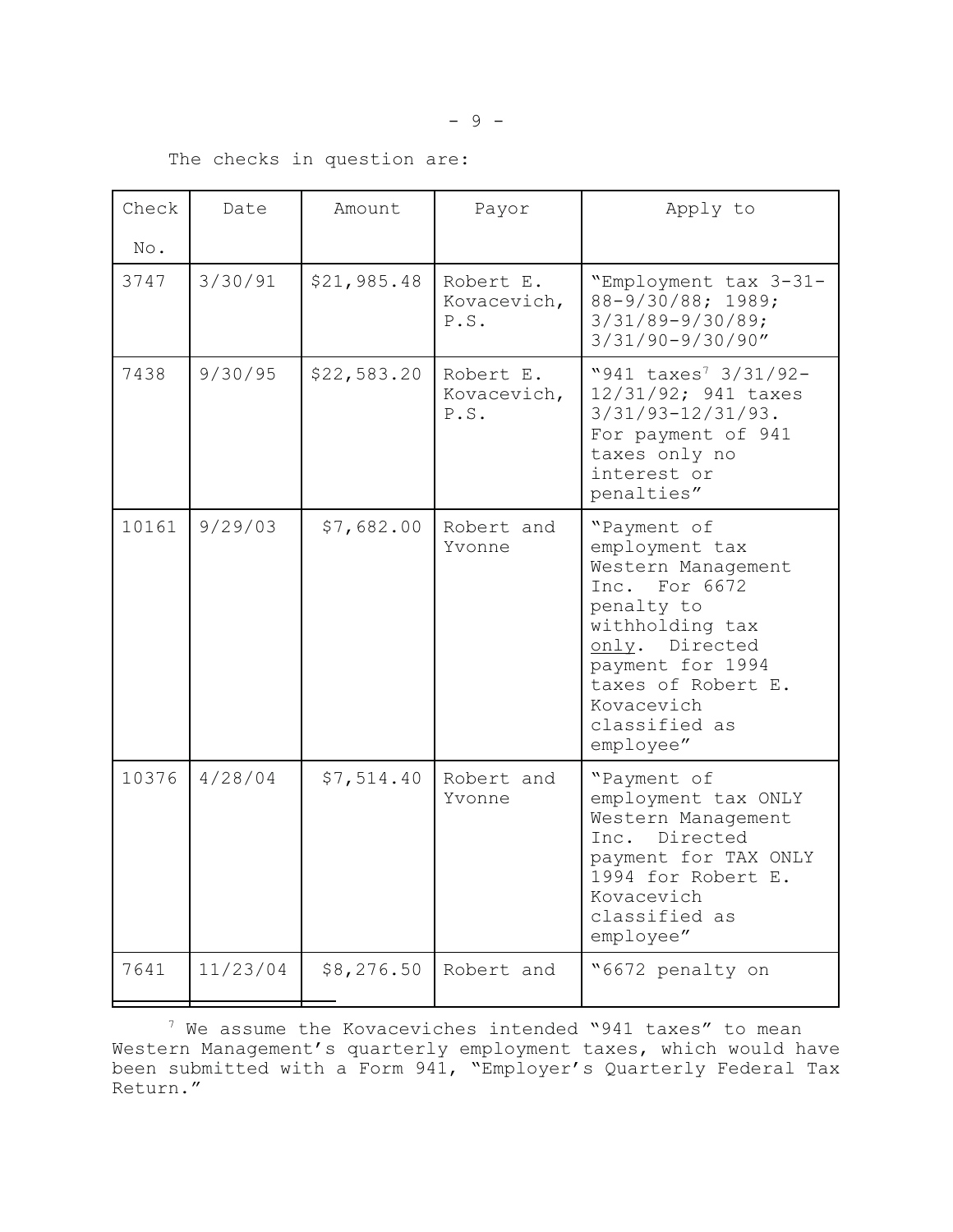# The checks in question are:

| Check | Date     | Amount      | Payor                            | Apply to                                                                                                                                                                                                      |
|-------|----------|-------------|----------------------------------|---------------------------------------------------------------------------------------------------------------------------------------------------------------------------------------------------------------|
| No.   |          |             |                                  |                                                                                                                                                                                                               |
| 3747  | 3/30/91  | \$21,985.48 | Robert E.<br>Kovacevich,<br>P.S. | "Employment tax 3-31-<br>88-9/30/88; 1989;<br>$3/31/89 - 9/30/89$ ;<br>$3/31/90 - 9/30/90''$                                                                                                                  |
| 7438  | 9/30/95  | \$22,583.20 | Robert E.<br>Kovacevich,<br>P.S. | "941 taxes <sup>7</sup> 3/31/92-<br>12/31/92; 941 taxes<br>$3/31/93 - 12/31/93$ .<br>For payment of 941<br>taxes only no<br>interest or<br>penalties"                                                         |
| 10161 | 9/29/03  | \$7,682.00  | Robert and<br>Yvonne             | "Payment of<br>employment tax<br>Western Management<br>Inc. For 6672<br>penalty to<br>withholding tax<br>only. Directed<br>payment for 1994<br>taxes of Robert E.<br>Kovacevich<br>classified as<br>employee" |
| 10376 | 4/28/04  | \$7,514.40  | Robert and<br>Yvonne             | "Payment of<br>employment tax ONLY<br>Western Management<br>Directed<br>Inc.<br>payment for TAX ONLY<br>1994 for Robert E.<br>Kovacevich<br>classified as<br>employee"                                        |
| 7641  | 11/23/04 | \$8,276.50  | Robert and                       | "6672 penalty on                                                                                                                                                                                              |

7 We assume the Kovaceviches intended "941 taxes" to mean Western Management's quarterly employment taxes, which would have been submitted with a Form 941, "Employer's Quarterly Federal Tax Return."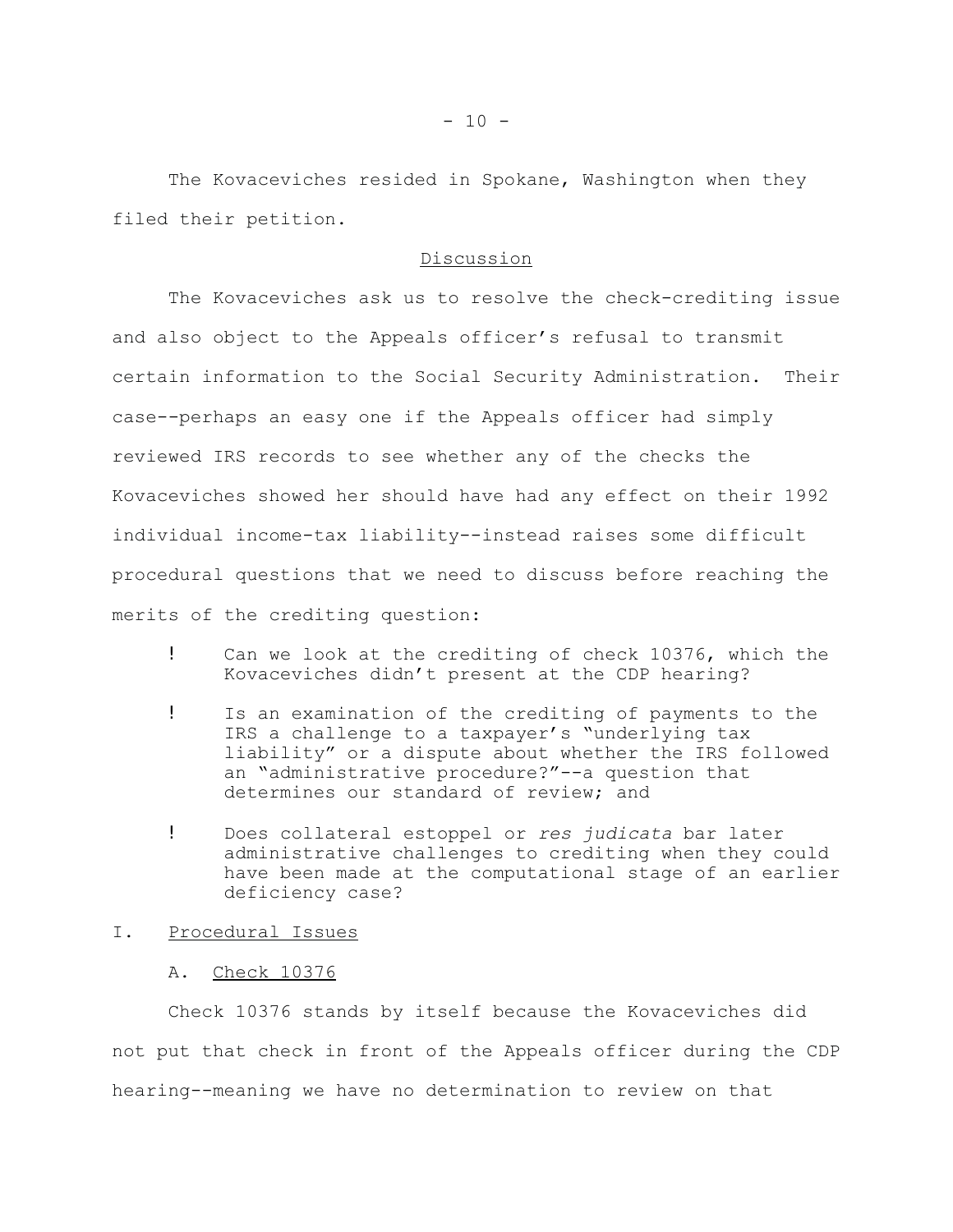The Kovaceviches resided in Spokane, Washington when they filed their petition.

#### Discussion

The Kovaceviches ask us to resolve the check-crediting issue and also object to the Appeals officer's refusal to transmit certain information to the Social Security Administration. Their case--perhaps an easy one if the Appeals officer had simply reviewed IRS records to see whether any of the checks the Kovaceviches showed her should have had any effect on their 1992 individual income-tax liability--instead raises some difficult procedural questions that we need to discuss before reaching the merits of the crediting question:

- ! Can we look at the crediting of check 10376, which the Kovaceviches didn't present at the CDP hearing?
- ! Is an examination of the crediting of payments to the IRS a challenge to a taxpayer's "underlying tax liability" or a dispute about whether the IRS followed an "administrative procedure?"--a question that determines our standard of review; and
- ! Does collateral estoppel or *res judicata* bar later administrative challenges to crediting when they could have been made at the computational stage of an earlier deficiency case?

#### I. Procedural Issues

A. Check 10376

Check 10376 stands by itself because the Kovaceviches did not put that check in front of the Appeals officer during the CDP hearing--meaning we have no determination to review on that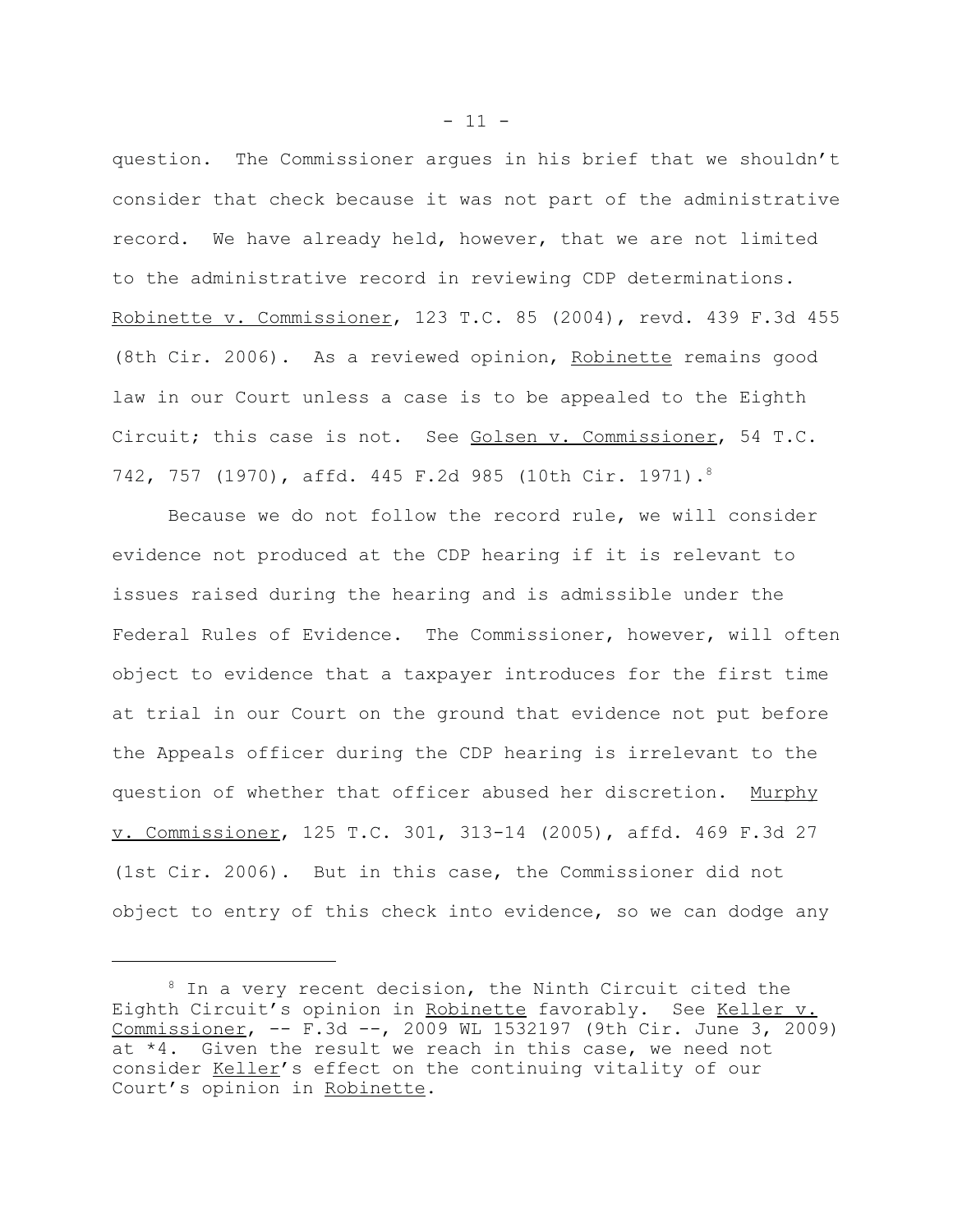question. The Commissioner argues in his brief that we shouldn't consider that check because it was not part of the administrative record. We have already held, however, that we are not limited to the administrative record in reviewing CDP determinations. Robinette v. Commissioner, 123 T.C. 85 (2004), revd. 439 F.3d 455 (8th Cir. 2006). As a reviewed opinion, Robinette remains good law in our Court unless a case is to be appealed to the Eighth Circuit; this case is not. See Golsen v. Commissioner, 54 T.C. 742, 757 (1970), affd. 445 F.2d 985 (10th Cir. 1971).8

Because we do not follow the record rule, we will consider evidence not produced at the CDP hearing if it is relevant to issues raised during the hearing and is admissible under the Federal Rules of Evidence. The Commissioner, however, will often object to evidence that a taxpayer introduces for the first time at trial in our Court on the ground that evidence not put before the Appeals officer during the CDP hearing is irrelevant to the question of whether that officer abused her discretion. Murphy v. Commissioner, 125 T.C. 301, 313-14 (2005), affd. 469 F.3d 27 (1st Cir. 2006). But in this case, the Commissioner did not object to entry of this check into evidence, so we can dodge any

<sup>&</sup>lt;sup>8</sup> In a very recent decision, the Ninth Circuit cited the Eighth Circuit's opinion in Robinette favorably. See Keller v. Commissioner, -- F.3d --, 2009 WL 1532197 (9th Cir. June 3, 2009) at \*4. Given the result we reach in this case, we need not consider Keller's effect on the continuing vitality of our Court's opinion in Robinette.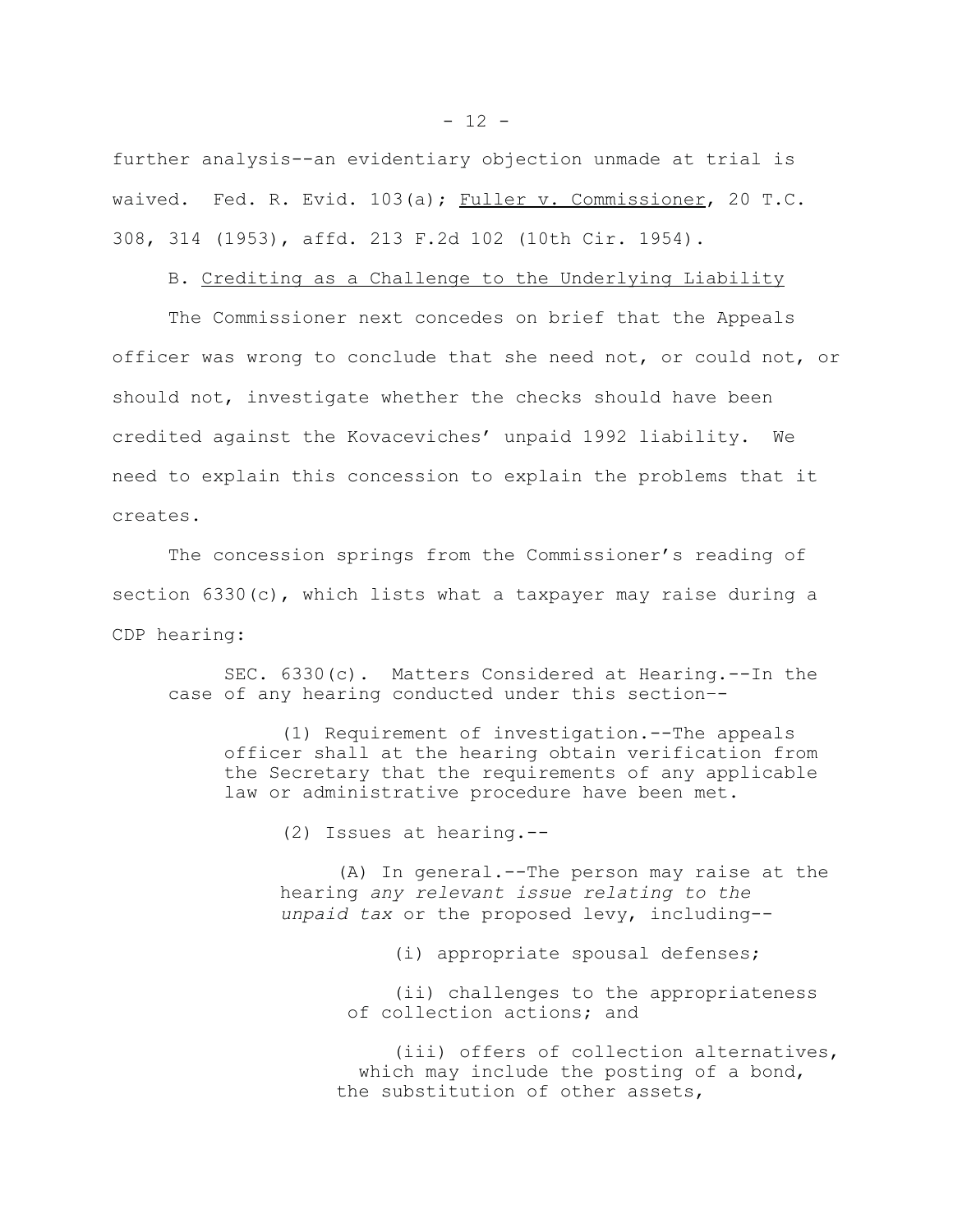further analysis--an evidentiary objection unmade at trial is waived. Fed. R. Evid. 103(a); Fuller v. Commissioner, 20 T.C. 308, 314 (1953), affd. 213 F.2d 102 (10th Cir. 1954).

#### B. Crediting as a Challenge to the Underlying Liability

The Commissioner next concedes on brief that the Appeals officer was wrong to conclude that she need not, or could not, or should not, investigate whether the checks should have been credited against the Kovaceviches' unpaid 1992 liability. We need to explain this concession to explain the problems that it creates.

The concession springs from the Commissioner's reading of section 6330(c), which lists what a taxpayer may raise during a CDP hearing:

SEC. 6330(c). Matters Considered at Hearing.--In the case of any hearing conducted under this section–-

(1) Requirement of investigation.--The appeals officer shall at the hearing obtain verification from the Secretary that the requirements of any applicable law or administrative procedure have been met.

(2) Issues at hearing.--

(A) In general.--The person may raise at the hearing *any relevant issue relating to the unpaid tax* or the proposed levy, including--

(i) appropriate spousal defenses;

(ii) challenges to the appropriateness of collection actions; and

(iii) offers of collection alternatives, which may include the posting of a bond, the substitution of other assets,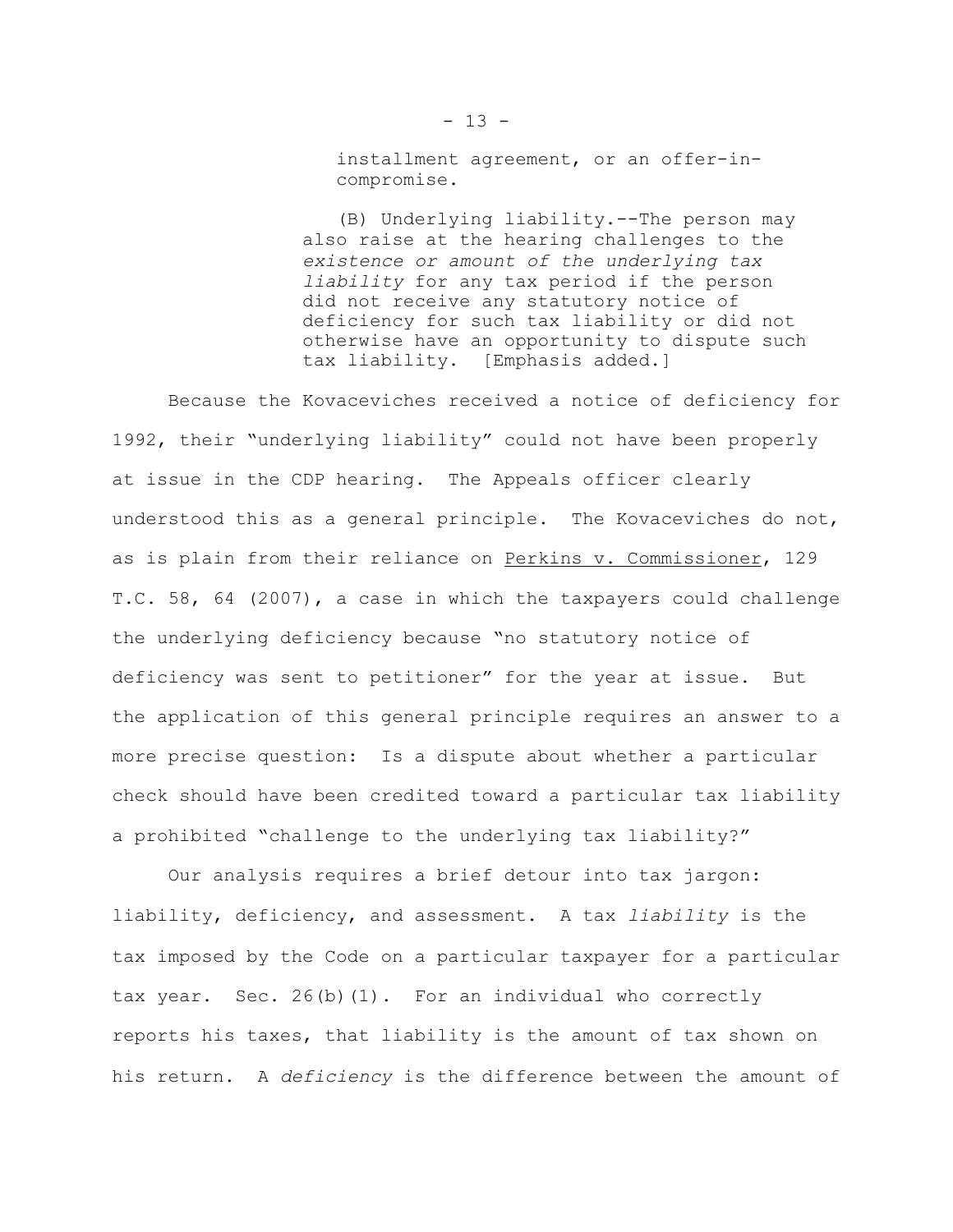installment agreement, or an offer-incompromise.

(B) Underlying liability.--The person may also raise at the hearing challenges to the  *existence or amount of the underlying tax liability* for any tax period if the person did not receive any statutory notice of deficiency for such tax liability or did not otherwise have an opportunity to dispute such tax liability. [Emphasis added.]

Because the Kovaceviches received a notice of deficiency for 1992, their "underlying liability" could not have been properly at issue in the CDP hearing. The Appeals officer clearly understood this as a general principle. The Kovaceviches do not, as is plain from their reliance on Perkins v. Commissioner, 129 T.C. 58, 64 (2007), a case in which the taxpayers could challenge the underlying deficiency because "no statutory notice of deficiency was sent to petitioner" for the year at issue. But the application of this general principle requires an answer to a more precise question: Is a dispute about whether a particular check should have been credited toward a particular tax liability a prohibited "challenge to the underlying tax liability?"

Our analysis requires a brief detour into tax jargon: liability, deficiency, and assessment. A tax *liability* is the tax imposed by the Code on a particular taxpayer for a particular tax year. Sec. 26(b)(1). For an individual who correctly reports his taxes, that liability is the amount of tax shown on his return. A *deficiency* is the difference between the amount of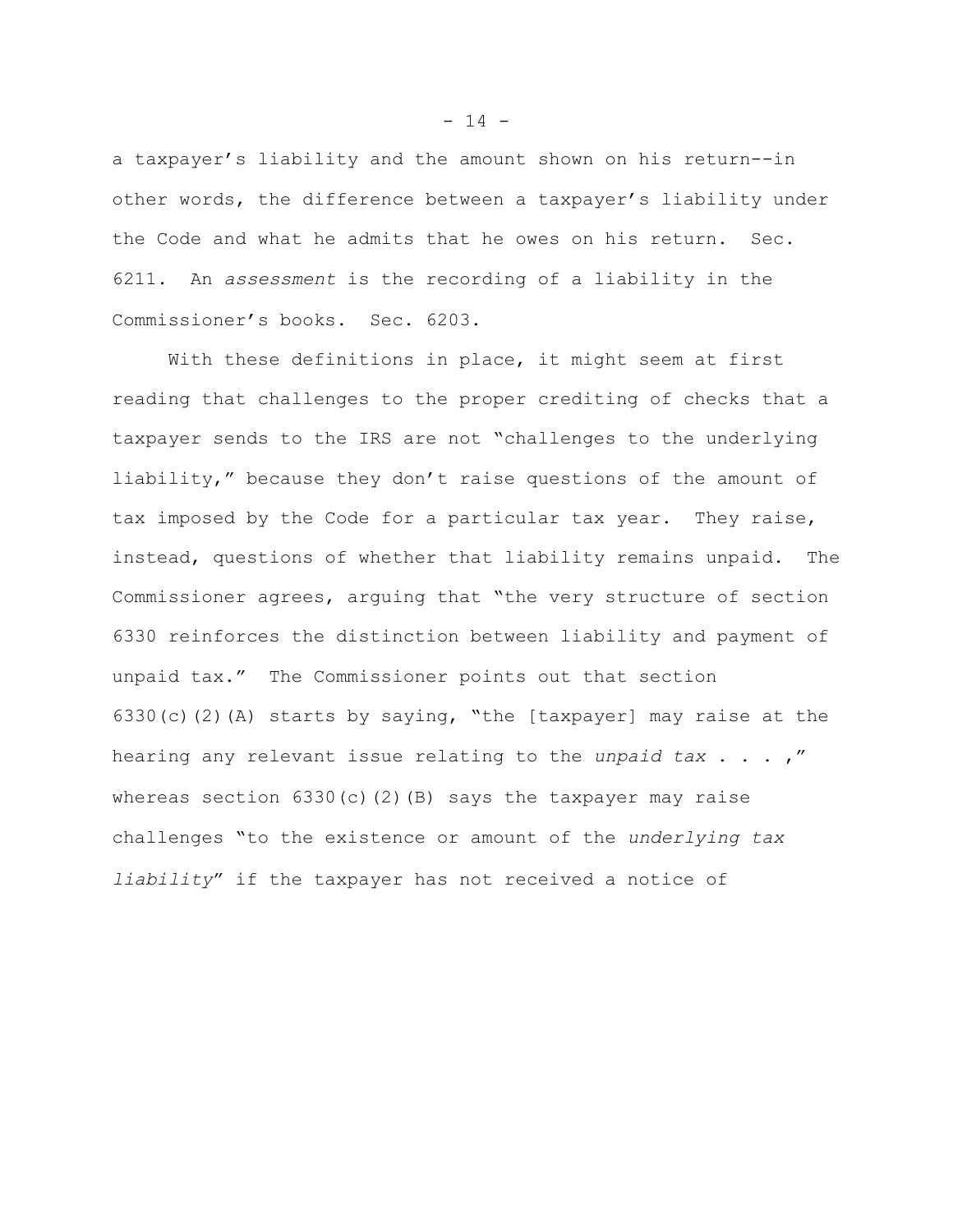a taxpayer's liability and the amount shown on his return--in other words, the difference between a taxpayer's liability under the Code and what he admits that he owes on his return. Sec. 6211. An *assessment* is the recording of a liability in the Commissioner's books. Sec. 6203.

With these definitions in place, it might seem at first reading that challenges to the proper crediting of checks that a taxpayer sends to the IRS are not "challenges to the underlying liability," because they don't raise questions of the amount of tax imposed by the Code for a particular tax year. They raise, instead, questions of whether that liability remains unpaid. The Commissioner agrees, arguing that "the very structure of section 6330 reinforces the distinction between liability and payment of unpaid tax." The Commissioner points out that section 6330(c)(2)(A) starts by saying, "the [taxpayer] may raise at the hearing any relevant issue relating to the *unpaid tax* . . . ," whereas section  $6330(c)(2)(B)$  says the taxpayer may raise challenges "to the existence or amount of the *underlying tax liability*" if the taxpayer has not received a notice of

 $- 14 -$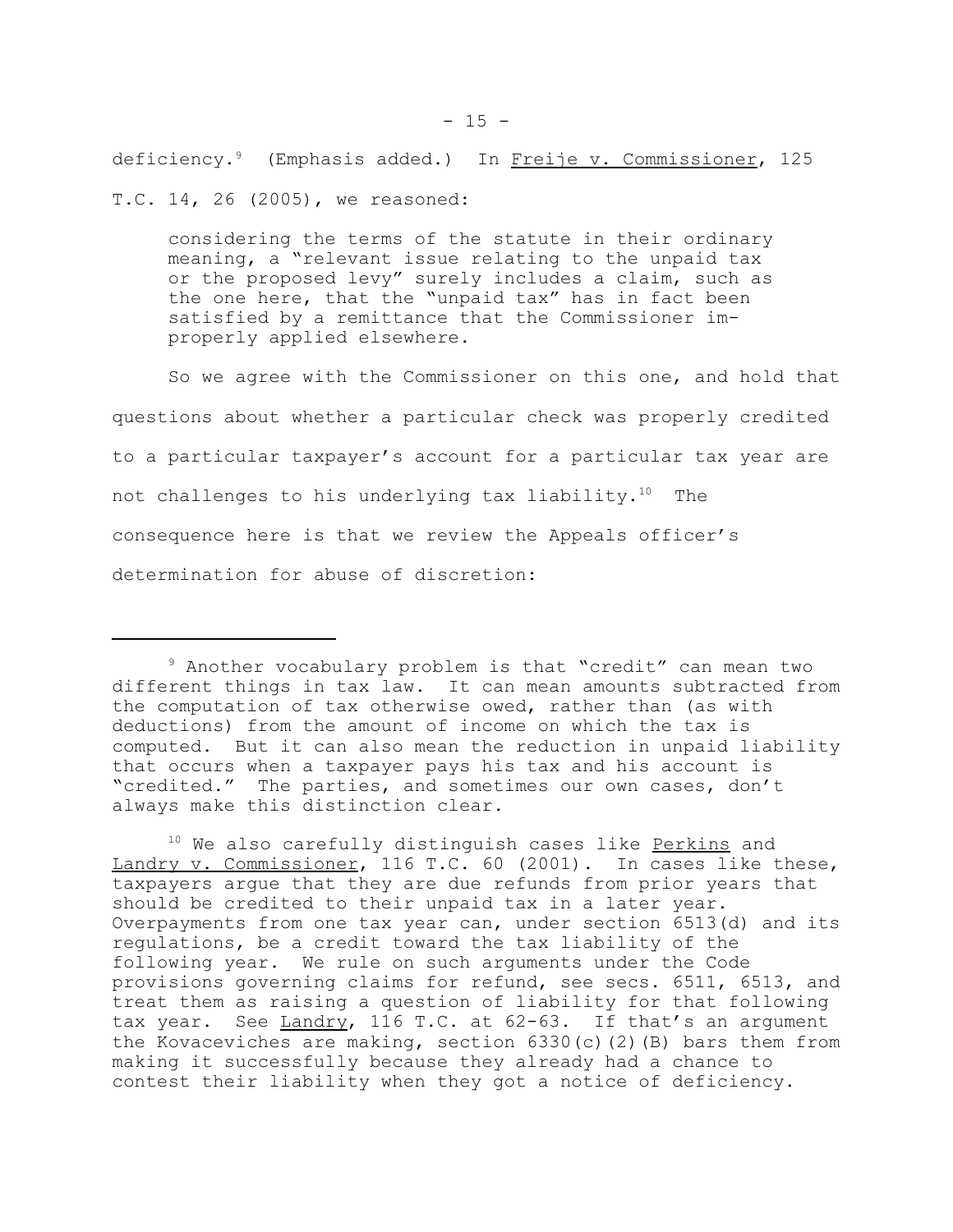deficiency.<sup>9</sup> (Emphasis added.) In Freije v. Commissioner, 125 T.C. 14, 26 (2005), we reasoned:

considering the terms of the statute in their ordinary meaning, a "relevant issue relating to the unpaid tax or the proposed levy" surely includes a claim, such as the one here, that the "unpaid tax" has in fact been satisfied by a remittance that the Commissioner improperly applied elsewhere.

So we agree with the Commissioner on this one, and hold that questions about whether a particular check was properly credited to a particular taxpayer's account for a particular tax year are not challenges to his underlying tax liability.10 The consequence here is that we review the Appeals officer's determination for abuse of discretion:

<sup>10</sup> We also carefully distinguish cases like Perkins and Landry v. Commissioner, 116 T.C. 60 (2001). In cases like these, taxpayers argue that they are due refunds from prior years that should be credited to their unpaid tax in a later year. Overpayments from one tax year can, under section 6513(d) and its regulations, be a credit toward the tax liability of the following year. We rule on such arguments under the Code provisions governing claims for refund, see secs. 6511, 6513, and treat them as raising a question of liability for that following tax year. See Landry, 116 T.C. at 62-63. If that's an argument the Kovaceviches are making, section  $6330(c)(2)(B)$  bars them from making it successfully because they already had a chance to contest their liability when they got a notice of deficiency.

<sup>9</sup> Another vocabulary problem is that "credit" can mean two different things in tax law. It can mean amounts subtracted from the computation of tax otherwise owed, rather than (as with deductions) from the amount of income on which the tax is computed. But it can also mean the reduction in unpaid liability that occurs when a taxpayer pays his tax and his account is "credited." The parties, and sometimes our own cases, don't always make this distinction clear.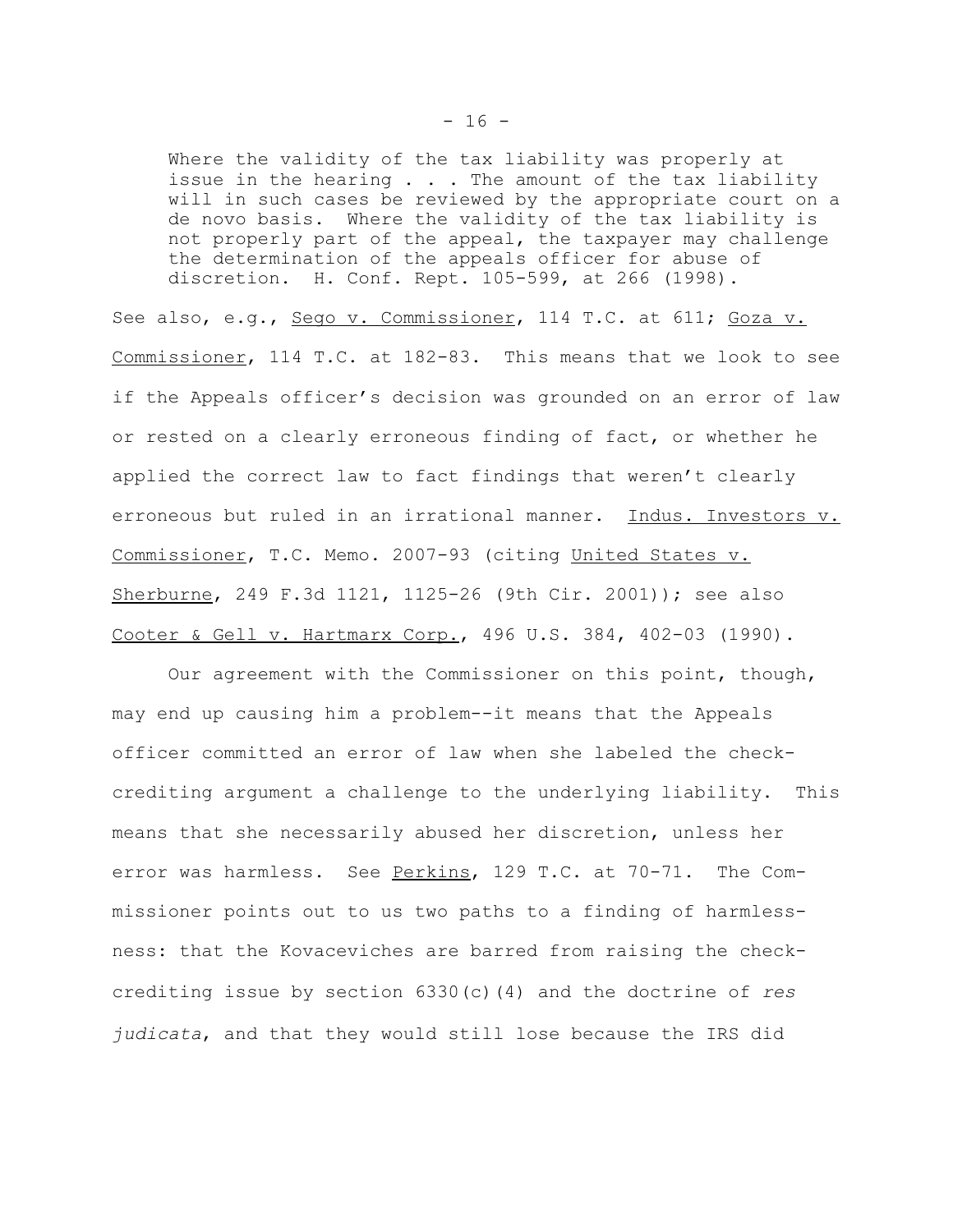Where the validity of the tax liability was properly at issue in the hearing  $\ldots$ . The amount of the tax liability will in such cases be reviewed by the appropriate court on a de novo basis. Where the validity of the tax liability is not properly part of the appeal, the taxpayer may challenge the determination of the appeals officer for abuse of discretion. H. Conf. Rept. 105-599, at 266 (1998).

See also, e.g., Sego v. Commissioner, 114 T.C. at 611; Goza v. Commissioner, 114 T.C. at 182-83. This means that we look to see if the Appeals officer's decision was grounded on an error of law or rested on a clearly erroneous finding of fact, or whether he applied the correct law to fact findings that weren't clearly erroneous but ruled in an irrational manner. Indus. Investors v. Commissioner, T.C. Memo. 2007-93 (citing United States v. Sherburne, 249 F.3d 1121, 1125-26 (9th Cir. 2001)); see also Cooter & Gell v. Hartmarx Corp., 496 U.S. 384, 402-03 (1990).

Our agreement with the Commissioner on this point, though, may end up causing him a problem--it means that the Appeals officer committed an error of law when she labeled the checkcrediting argument a challenge to the underlying liability. This means that she necessarily abused her discretion, unless her error was harmless. See Perkins, 129 T.C. at 70-71. The Commissioner points out to us two paths to a finding of harmlessness: that the Kovaceviches are barred from raising the checkcrediting issue by section 6330(c)(4) and the doctrine of *res judicata*, and that they would still lose because the IRS did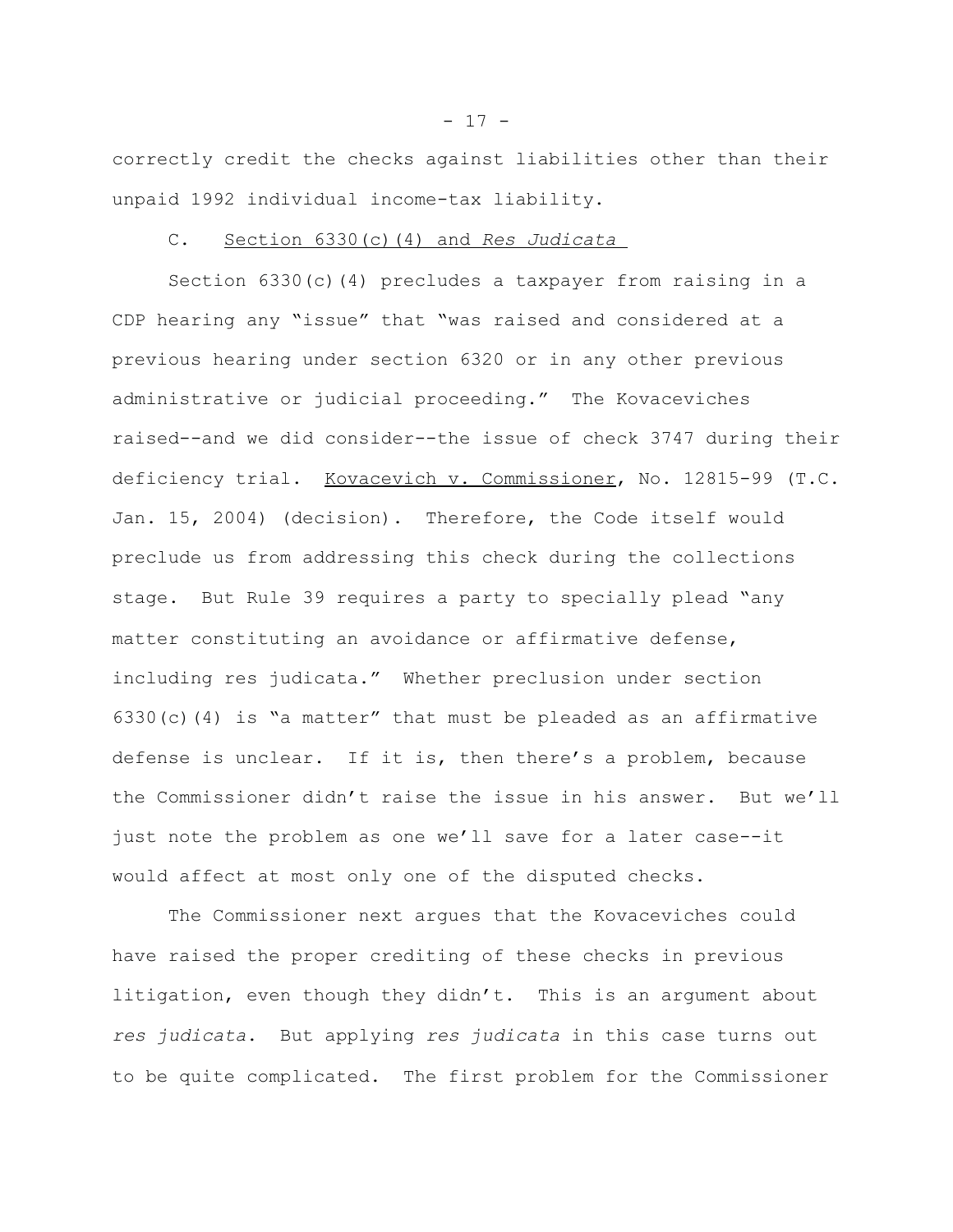correctly credit the checks against liabilities other than their unpaid 1992 individual income-tax liability.

## C. Section 6330(c)(4) and *Res Judicata*

Section 6330(c)(4) precludes a taxpayer from raising in a CDP hearing any "issue" that "was raised and considered at a previous hearing under section 6320 or in any other previous administrative or judicial proceeding." The Kovaceviches raised--and we did consider--the issue of check 3747 during their deficiency trial. Kovacevich v. Commissioner, No. 12815-99 (T.C. Jan. 15, 2004) (decision). Therefore, the Code itself would preclude us from addressing this check during the collections stage. But Rule 39 requires a party to specially plead "any matter constituting an avoidance or affirmative defense, including res judicata." Whether preclusion under section 6330(c)(4) is "a matter" that must be pleaded as an affirmative defense is unclear. If it is, then there's a problem, because the Commissioner didn't raise the issue in his answer. But we'll just note the problem as one we'll save for a later case--it would affect at most only one of the disputed checks.

The Commissioner next argues that the Kovaceviches could have raised the proper crediting of these checks in previous litigation, even though they didn't. This is an argument about *res judicata*. But applying *res judicata* in this case turns out to be quite complicated. The first problem for the Commissioner

 $- 17 -$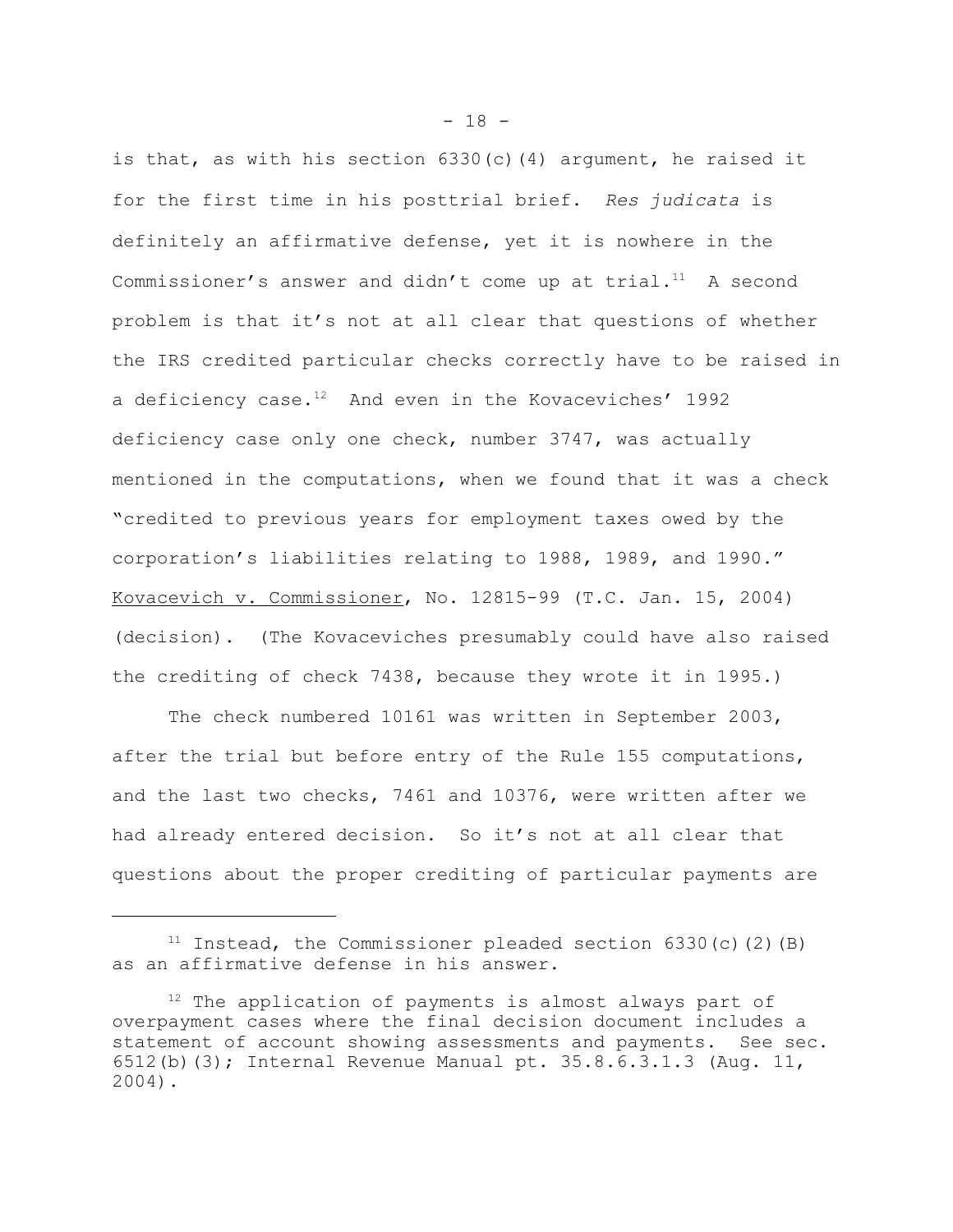is that, as with his section  $6330(c)(4)$  argument, he raised it for the first time in his posttrial brief**.** *Res judicata* is definitely an affirmative defense, yet it is nowhere in the Commissioner's answer and didn't come up at trial. $11$  A second problem is that it's not at all clear that questions of whether the IRS credited particular checks correctly have to be raised in a deficiency case. $12$  And even in the Kovaceviches' 1992 deficiency case only one check, number 3747, was actually mentioned in the computations, when we found that it was a check "credited to previous years for employment taxes owed by the corporation's liabilities relating to 1988, 1989, and 1990." Kovacevich v. Commissioner, No. 12815-99 (T.C. Jan. 15, 2004) (decision). (The Kovaceviches presumably could have also raised the crediting of check 7438, because they wrote it in 1995.)

The check numbered 10161 was written in September 2003, after the trial but before entry of the Rule 155 computations, and the last two checks, 7461 and 10376, were written after we had already entered decision. So it's not at all clear that questions about the proper crediting of particular payments are

 $11$  Instead, the Commissioner pleaded section 6330(c)(2)(B) as an affirmative defense in his answer.

<sup>&</sup>lt;sup>12</sup> The application of payments is almost always part of overpayment cases where the final decision document includes a statement of account showing assessments and payments. See sec. 6512(b)(3); Internal Revenue Manual pt. 35.8.6.3.1.3 (Aug. 11, 2004).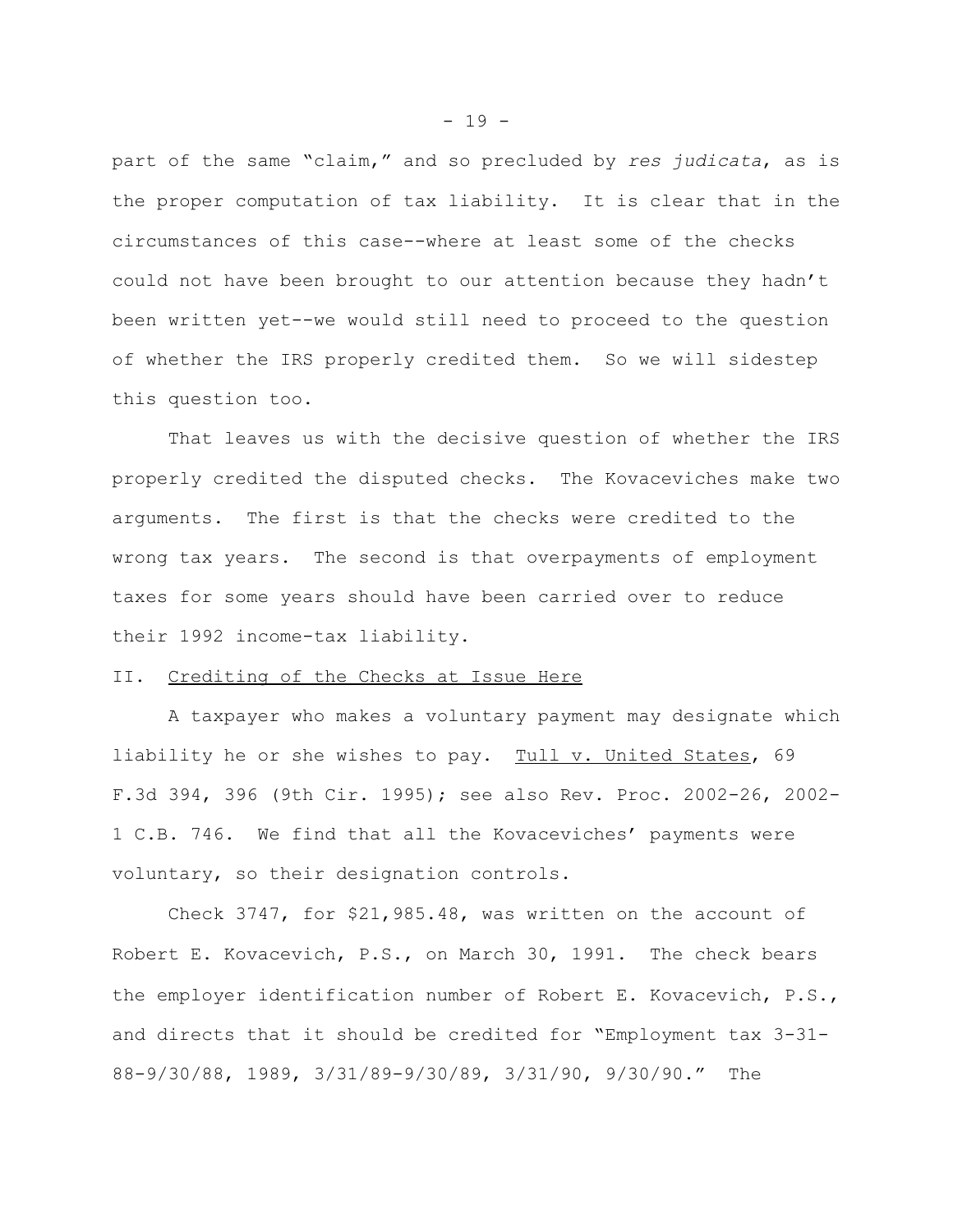part of the same "claim," and so precluded by *res judicata*, as is the proper computation of tax liability. It is clear that in the circumstances of this case--where at least some of the checks could not have been brought to our attention because they hadn't been written yet--we would still need to proceed to the question of whether the IRS properly credited them. So we will sidestep this question too.

That leaves us with the decisive question of whether the IRS properly credited the disputed checks. The Kovaceviches make two arguments. The first is that the checks were credited to the wrong tax years. The second is that overpayments of employment taxes for some years should have been carried over to reduce their 1992 income-tax liability.

# II. Crediting of the Checks at Issue Here

A taxpayer who makes a voluntary payment may designate which liability he or she wishes to pay. Tull v. United States, 69 F.3d 394, 396 (9th Cir. 1995); see also Rev. Proc. 2002-26, 2002- 1 C.B. 746. We find that all the Kovaceviches' payments were voluntary, so their designation controls.

Check 3747, for \$21,985.48, was written on the account of Robert E. Kovacevich, P.S., on March 30, 1991. The check bears the employer identification number of Robert E. Kovacevich, P.S., and directs that it should be credited for "Employment tax 3-31- 88-9/30/88, 1989, 3/31/89-9/30/89, 3/31/90, 9/30/90." The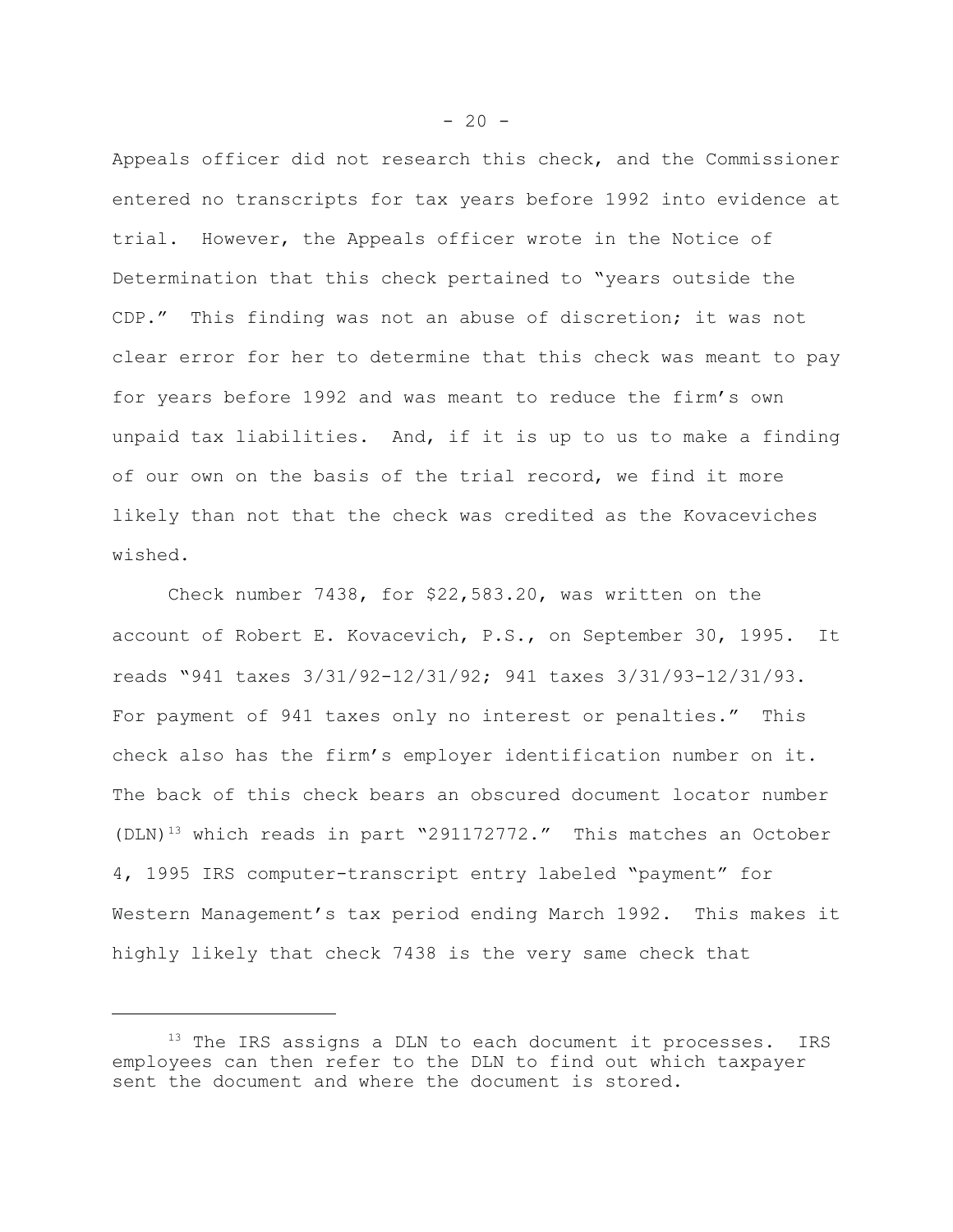Appeals officer did not research this check, and the Commissioner entered no transcripts for tax years before 1992 into evidence at trial. However, the Appeals officer wrote in the Notice of Determination that this check pertained to "years outside the CDP." This finding was not an abuse of discretion; it was not clear error for her to determine that this check was meant to pay for years before 1992 and was meant to reduce the firm's own unpaid tax liabilities. And, if it is up to us to make a finding of our own on the basis of the trial record, we find it more likely than not that the check was credited as the Kovaceviches wished.

Check number 7438, for \$22,583.20, was written on the account of Robert E. Kovacevich, P.S., on September 30, 1995. It reads "941 taxes 3/31/92-12/31/92; 941 taxes 3/31/93-12/31/93. For payment of 941 taxes only no interest or penalties." This check also has the firm's employer identification number on it. The back of this check bears an obscured document locator number  $(DLN)^{13}$  which reads in part "291172772." This matches an October 4, 1995 IRS computer-transcript entry labeled "payment" for Western Management's tax period ending March 1992. This makes it highly likely that check 7438 is the very same check that

 $-20 -$ 

<sup>&</sup>lt;sup>13</sup> The IRS assigns a DLN to each document it processes. IRS employees can then refer to the DLN to find out which taxpayer sent the document and where the document is stored.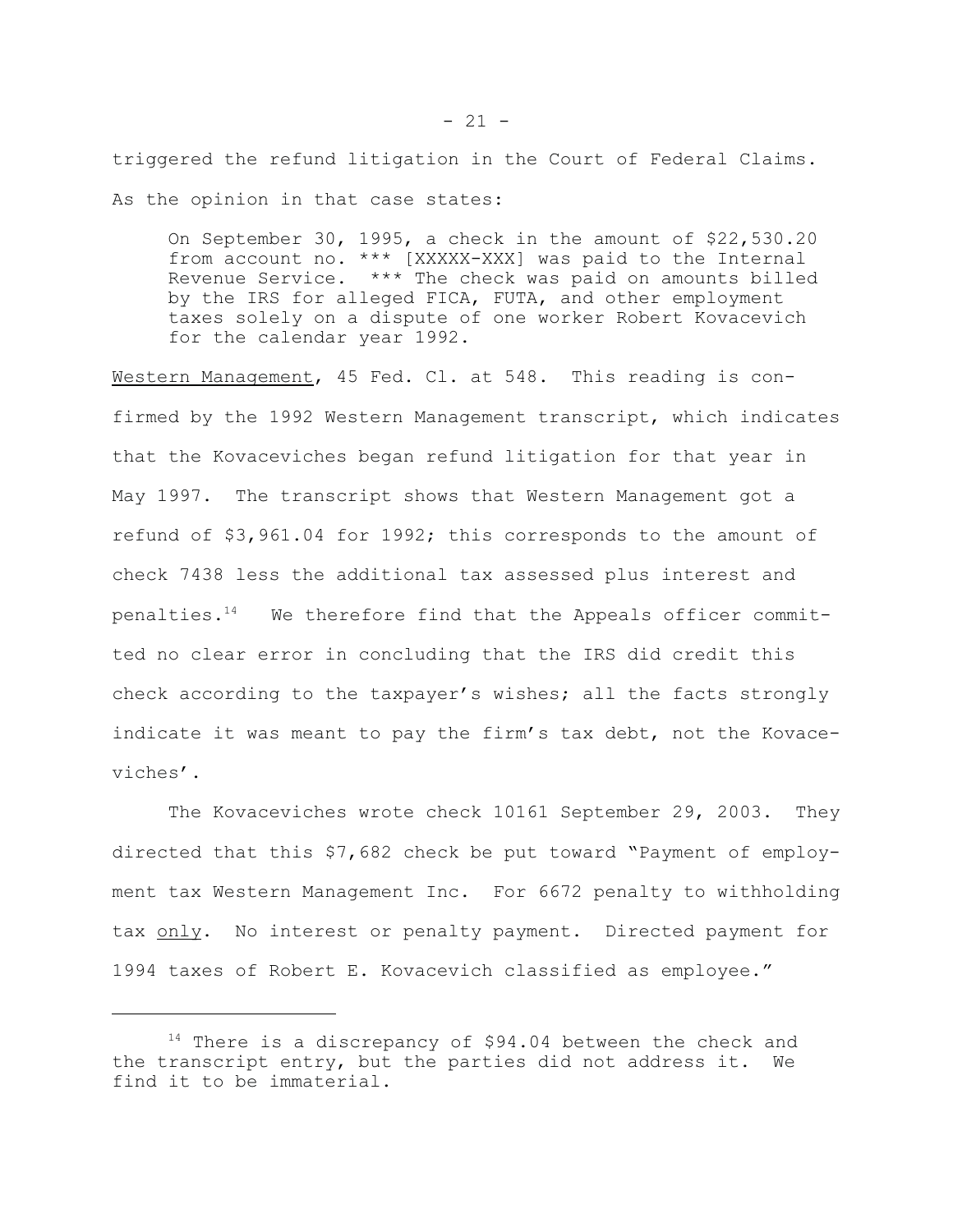triggered the refund litigation in the Court of Federal Claims. As the opinion in that case states:

On September 30, 1995, a check in the amount of \$22,530.20 from account no. \*\*\* [XXXXX-XXX] was paid to the Internal Revenue Service. \*\*\* The check was paid on amounts billed by the IRS for alleged FICA, FUTA, and other employment taxes solely on a dispute of one worker Robert Kovacevich for the calendar year 1992.

Western Management, 45 Fed. Cl. at 548. This reading is confirmed by the 1992 Western Management transcript, which indicates that the Kovaceviches began refund litigation for that year in May 1997. The transcript shows that Western Management got a refund of \$3,961.04 for 1992; this corresponds to the amount of check 7438 less the additional tax assessed plus interest and penalties.14 We therefore find that the Appeals officer committed no clear error in concluding that the IRS did credit this check according to the taxpayer's wishes; all the facts strongly indicate it was meant to pay the firm's tax debt, not the Kovaceviches'.

The Kovaceviches wrote check 10161 September 29, 2003. They directed that this \$7,682 check be put toward "Payment of employment tax Western Management Inc. For 6672 penalty to withholding tax only. No interest or penalty payment. Directed payment for 1994 taxes of Robert E. Kovacevich classified as employee."

<sup>&</sup>lt;sup>14</sup> There is a discrepancy of \$94.04 between the check and the transcript entry, but the parties did not address it. We find it to be immaterial.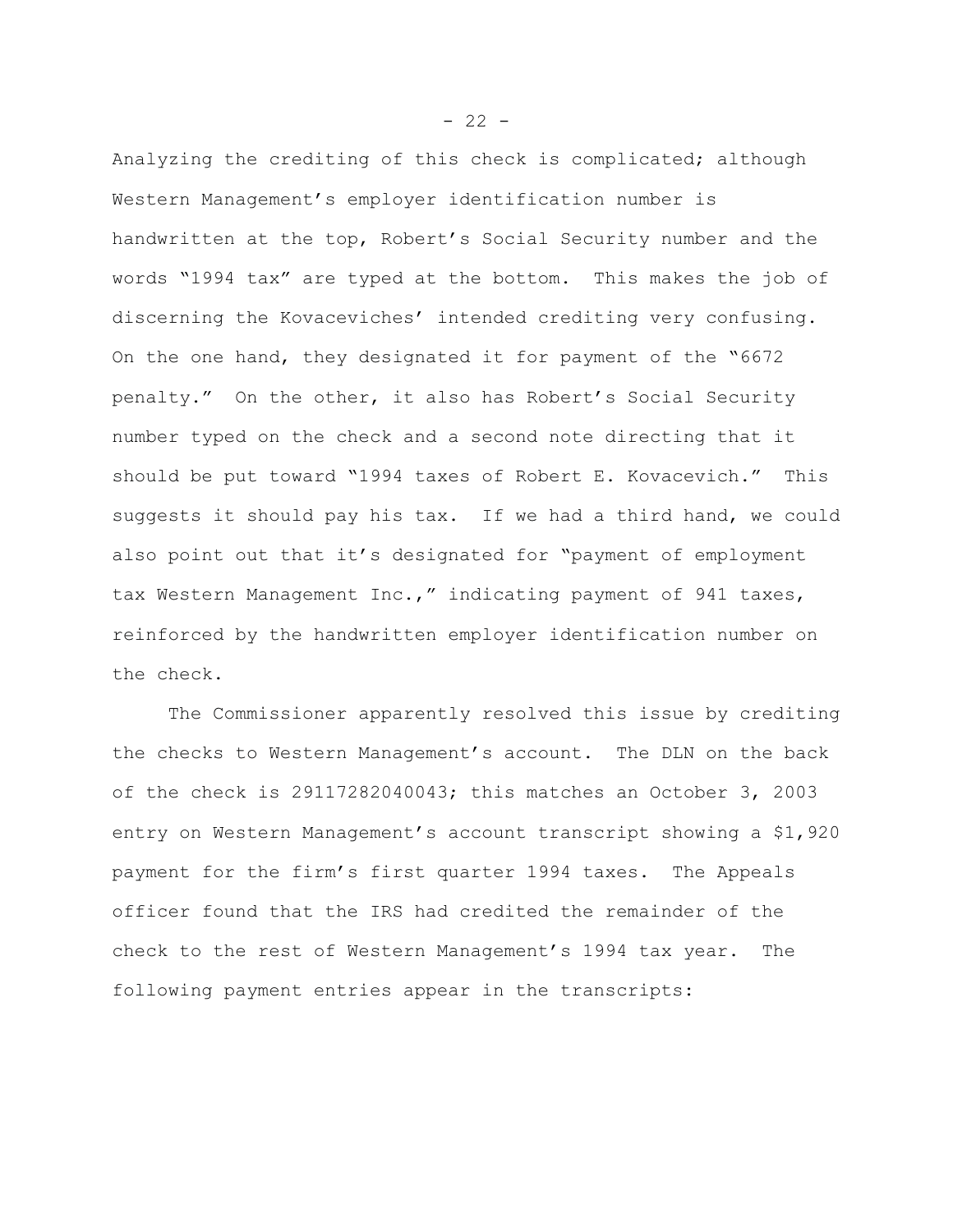Analyzing the crediting of this check is complicated; although Western Management's employer identification number is handwritten at the top, Robert's Social Security number and the words "1994 tax" are typed at the bottom. This makes the job of discerning the Kovaceviches' intended crediting very confusing. On the one hand, they designated it for payment of the "6672 penalty." On the other, it also has Robert's Social Security number typed on the check and a second note directing that it should be put toward "1994 taxes of Robert E. Kovacevich." This suggests it should pay his tax. If we had a third hand, we could also point out that it's designated for "payment of employment tax Western Management Inc.," indicating payment of 941 taxes, reinforced by the handwritten employer identification number on the check.

The Commissioner apparently resolved this issue by crediting the checks to Western Management's account. The DLN on the back of the check is 29117282040043; this matches an October 3, 2003 entry on Western Management's account transcript showing a \$1,920 payment for the firm's first quarter 1994 taxes. The Appeals officer found that the IRS had credited the remainder of the check to the rest of Western Management's 1994 tax year. The following payment entries appear in the transcripts:

 $- 22 -$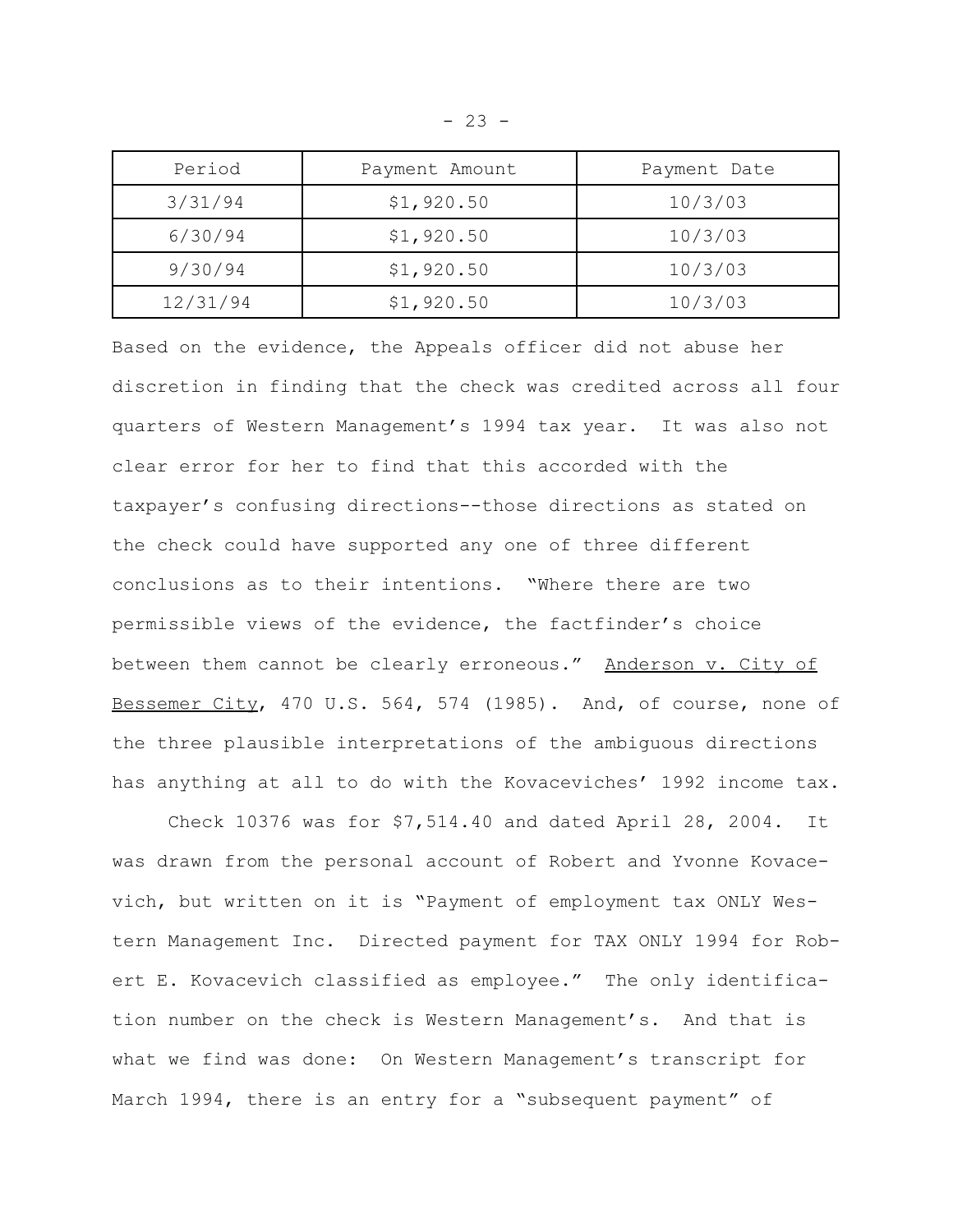| Period   | Payment Amount | Payment Date |
|----------|----------------|--------------|
| 3/31/94  | \$1,920.50     | 10/3/03      |
| 6/30/94  | \$1,920.50     | 10/3/03      |
| 9/30/94  | \$1,920.50     | 10/3/03      |
| 12/31/94 | \$1,920.50     | 10/3/03      |

Based on the evidence, the Appeals officer did not abuse her discretion in finding that the check was credited across all four quarters of Western Management's 1994 tax year. It was also not clear error for her to find that this accorded with the taxpayer's confusing directions--those directions as stated on the check could have supported any one of three different conclusions as to their intentions. "Where there are two permissible views of the evidence, the factfinder's choice between them cannot be clearly erroneous." Anderson v. City of Bessemer City, 470 U.S. 564, 574 (1985). And, of course, none of the three plausible interpretations of the ambiguous directions has anything at all to do with the Kovaceviches' 1992 income tax.

Check 10376 was for \$7,514.40 and dated April 28, 2004. It was drawn from the personal account of Robert and Yvonne Kovacevich, but written on it is "Payment of employment tax ONLY Western Management Inc. Directed payment for TAX ONLY 1994 for Robert E. Kovacevich classified as employee." The only identification number on the check is Western Management's. And that is what we find was done: On Western Management's transcript for March 1994, there is an entry for a "subsequent payment" of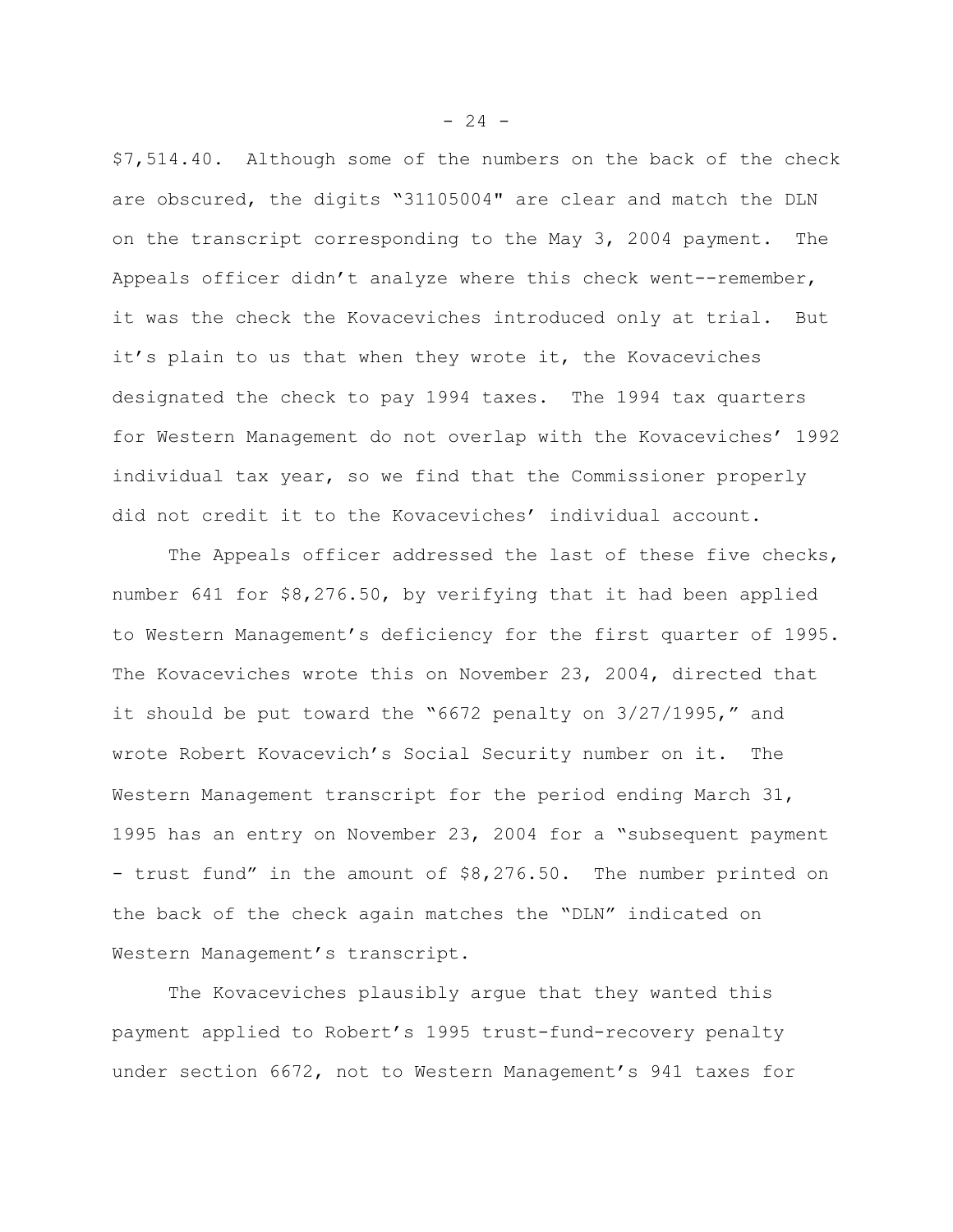\$7,514.40. Although some of the numbers on the back of the check are obscured, the digits "31105004" are clear and match the DLN on the transcript corresponding to the May 3, 2004 payment. The Appeals officer didn't analyze where this check went--remember, it was the check the Kovaceviches introduced only at trial. But it's plain to us that when they wrote it, the Kovaceviches designated the check to pay 1994 taxes. The 1994 tax quarters for Western Management do not overlap with the Kovaceviches' 1992 individual tax year, so we find that the Commissioner properly did not credit it to the Kovaceviches' individual account.

The Appeals officer addressed the last of these five checks, number 641 for \$8,276.50, by verifying that it had been applied to Western Management's deficiency for the first quarter of 1995. The Kovaceviches wrote this on November 23, 2004, directed that it should be put toward the "6672 penalty on 3/27/1995," and wrote Robert Kovacevich's Social Security number on it. The Western Management transcript for the period ending March 31, 1995 has an entry on November 23, 2004 for a "subsequent payment - trust fund" in the amount of \$8,276.50. The number printed on the back of the check again matches the "DLN" indicated on Western Management's transcript.

The Kovaceviches plausibly argue that they wanted this payment applied to Robert's 1995 trust-fund-recovery penalty under section 6672, not to Western Management's 941 taxes for

 $- 24 -$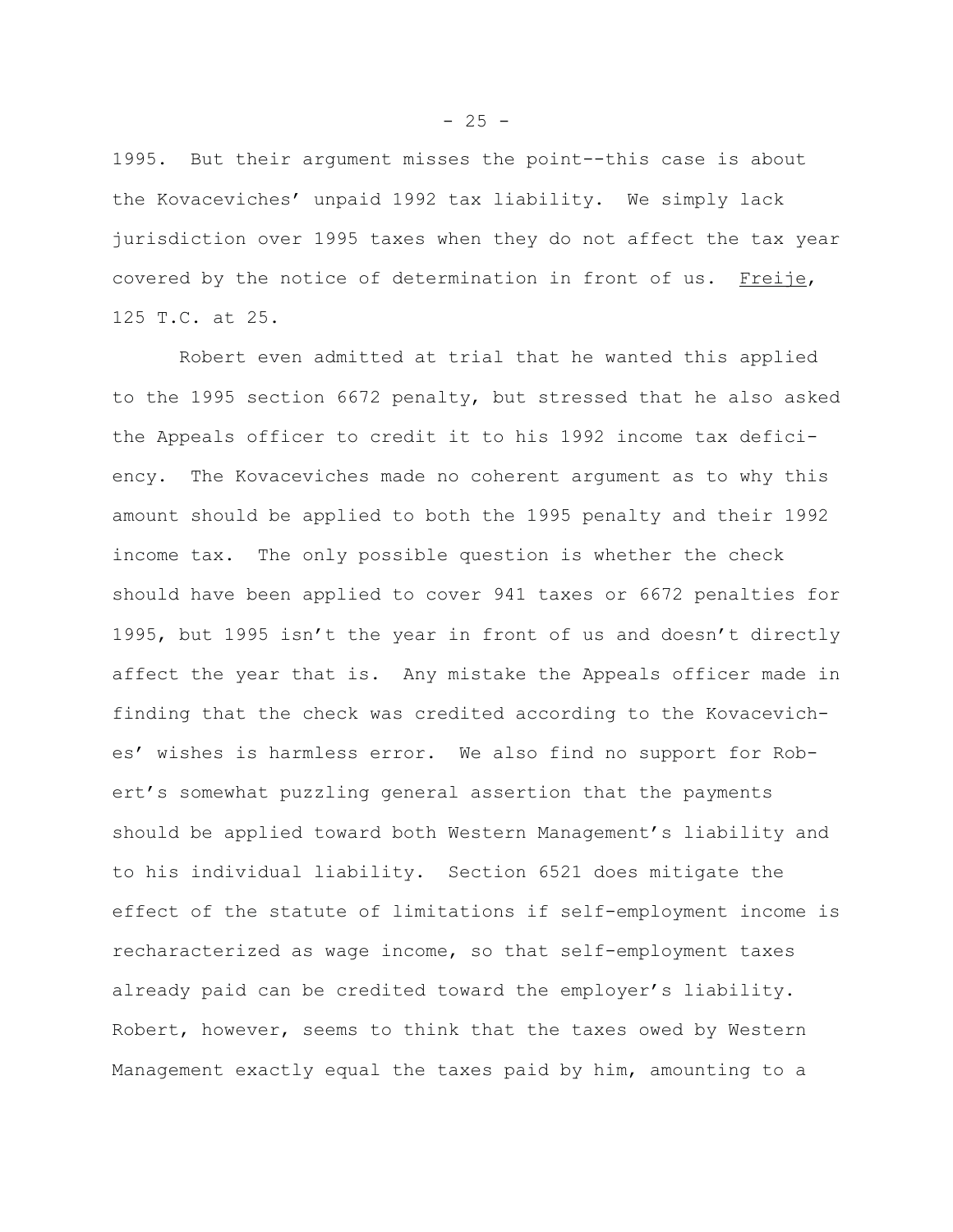1995. But their argument misses the point--this case is about the Kovaceviches' unpaid 1992 tax liability. We simply lack jurisdiction over 1995 taxes when they do not affect the tax year covered by the notice of determination in front of us. Freije, 125 T.C. at 25.

 Robert even admitted at trial that he wanted this applied to the 1995 section 6672 penalty, but stressed that he also asked the Appeals officer to credit it to his 1992 income tax deficiency. The Kovaceviches made no coherent argument as to why this amount should be applied to both the 1995 penalty and their 1992 income tax. The only possible question is whether the check should have been applied to cover 941 taxes or 6672 penalties for 1995, but 1995 isn't the year in front of us and doesn't directly affect the year that is. Any mistake the Appeals officer made in finding that the check was credited according to the Kovaceviches' wishes is harmless error. We also find no support for Robert's somewhat puzzling general assertion that the payments should be applied toward both Western Management's liability and to his individual liability. Section 6521 does mitigate the effect of the statute of limitations if self-employment income is recharacterized as wage income, so that self-employment taxes already paid can be credited toward the employer's liability. Robert, however, seems to think that the taxes owed by Western Management exactly equal the taxes paid by him, amounting to a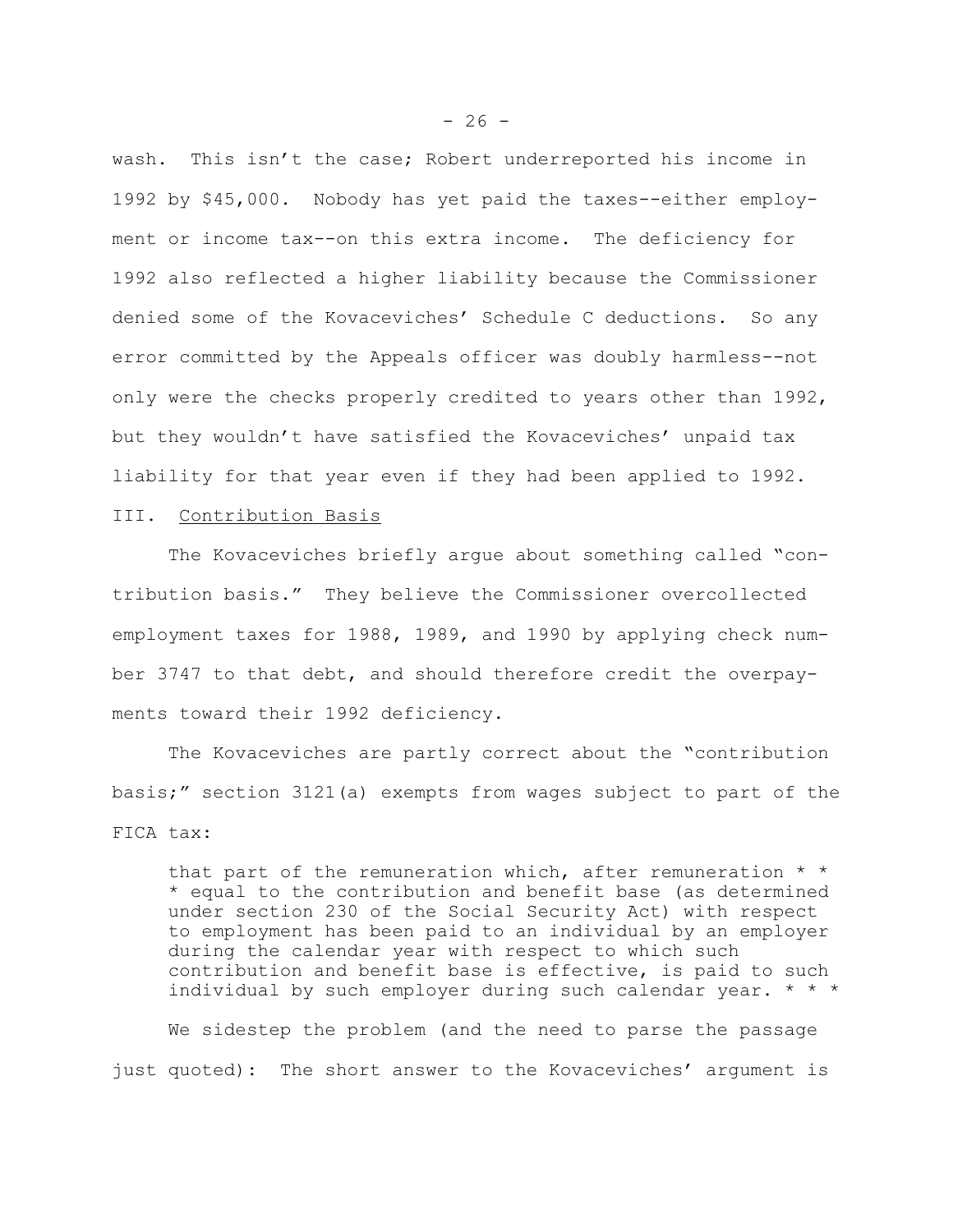wash. This isn't the case; Robert underreported his income in 1992 by \$45,000. Nobody has yet paid the taxes--either employment or income tax--on this extra income. The deficiency for 1992 also reflected a higher liability because the Commissioner denied some of the Kovaceviches' Schedule C deductions. So any error committed by the Appeals officer was doubly harmless--not only were the checks properly credited to years other than 1992, but they wouldn't have satisfied the Kovaceviches' unpaid tax liability for that year even if they had been applied to 1992.

#### III. Contribution Basis

The Kovaceviches briefly argue about something called "contribution basis." They believe the Commissioner overcollected employment taxes for 1988, 1989, and 1990 by applying check number 3747 to that debt, and should therefore credit the overpayments toward their 1992 deficiency.

The Kovaceviches are partly correct about the "contribution basis;" section 3121(a) exempts from wages subject to part of the FICA tax:

that part of the remuneration which, after remuneration  $*$ \* equal to the contribution and benefit base (as determined under section 230 of the Social Security Act) with respect to employment has been paid to an individual by an employer during the calendar year with respect to which such contribution and benefit base is effective, is paid to such individual by such employer during such calendar year. \* \* \*

We sidestep the problem (and the need to parse the passage just quoted): The short answer to the Kovaceviches' argument is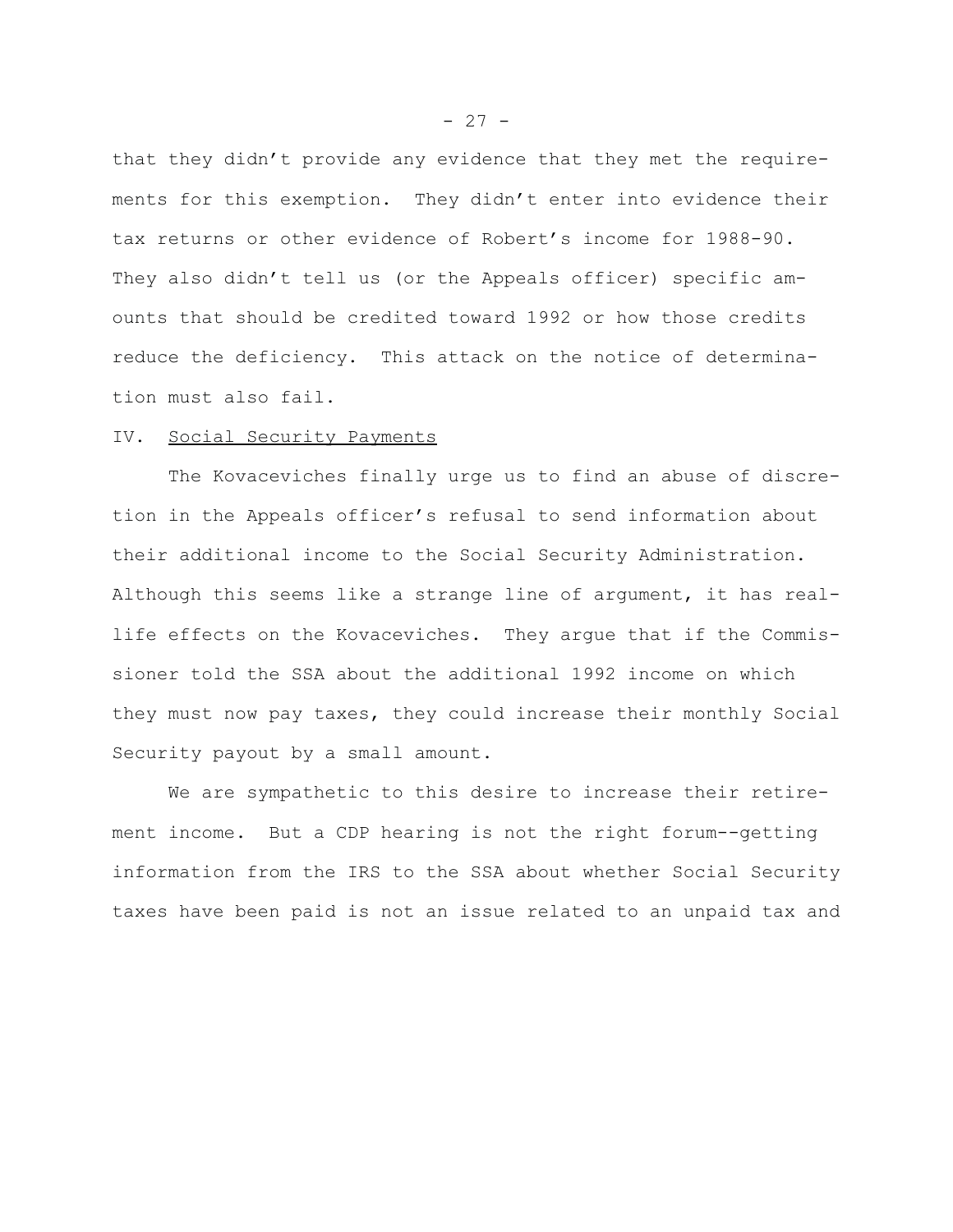that they didn't provide any evidence that they met the requirements for this exemption. They didn't enter into evidence their tax returns or other evidence of Robert's income for 1988-90. They also didn't tell us (or the Appeals officer) specific amounts that should be credited toward 1992 or how those credits reduce the deficiency. This attack on the notice of determination must also fail.

## IV. Social Security Payments

The Kovaceviches finally urge us to find an abuse of discretion in the Appeals officer's refusal to send information about their additional income to the Social Security Administration. Although this seems like a strange line of argument, it has reallife effects on the Kovaceviches. They argue that if the Commissioner told the SSA about the additional 1992 income on which they must now pay taxes, they could increase their monthly Social Security payout by a small amount.

We are sympathetic to this desire to increase their retirement income. But a CDP hearing is not the right forum--getting information from the IRS to the SSA about whether Social Security taxes have been paid is not an issue related to an unpaid tax and

 $- 27 -$